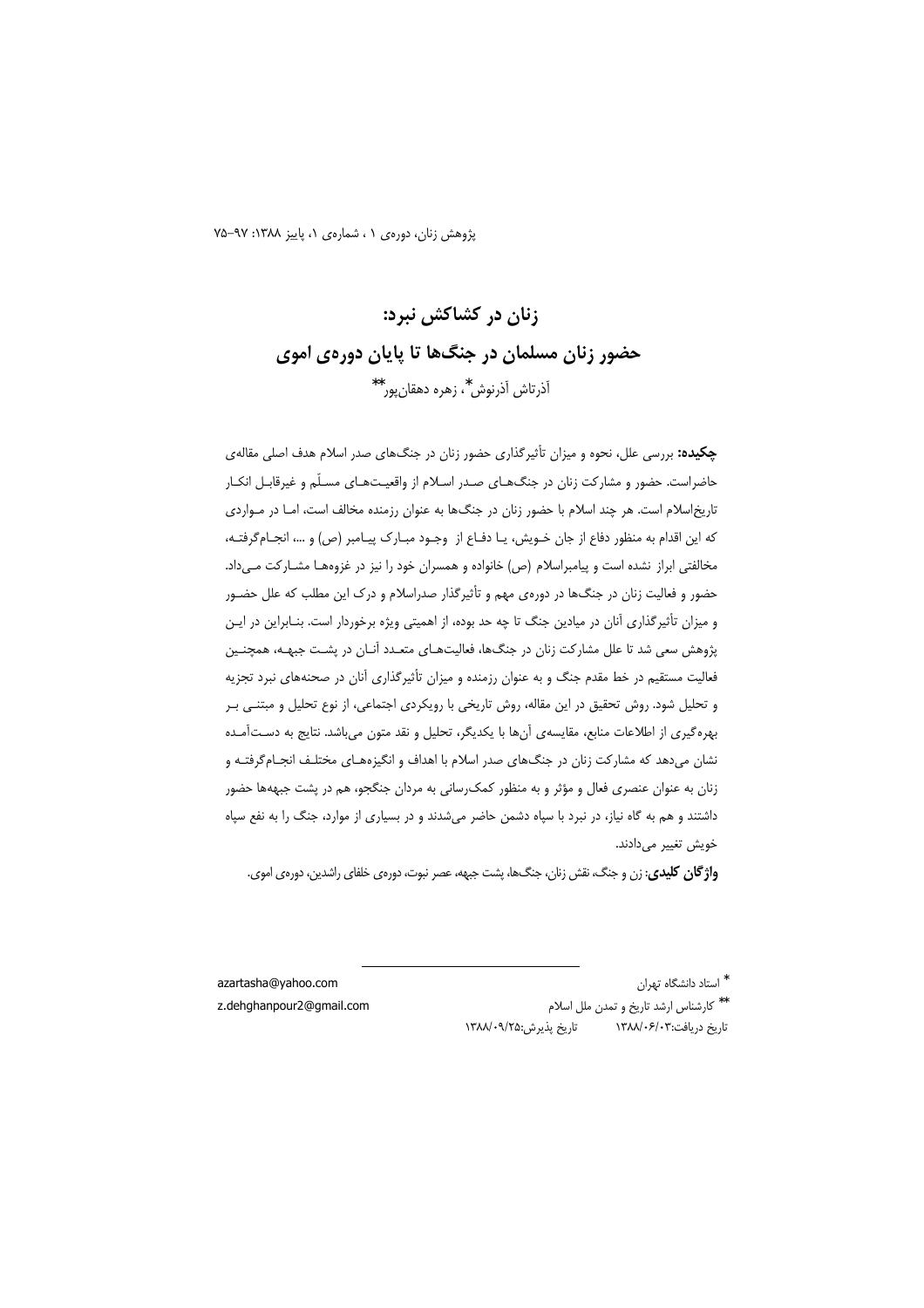یژوهش زنان، دورهی ۰ ، شمارهی ۰، پاییز ۰۳۸۸: ۷۷–۷۵

# زنان در کشاکش نیرد: حضور زنان مسلمان در جنگها تا پایان دورهی اموی اَذرتاش اَذرنوش ؓ ، زهره دهقان یور ٌ ٞ

چ**کیده:** بررسی علل، نحوه و میزان تأثیرگذاری حضور زنان در جنگهای صدر اسلام هدف اصل<sub>،</sub> مقالهی حاضراست. حضور و مشارکت زنان در جنگ۱علی صـدر اسـلام از واقعیـتھـای مسـلّم و غیرقابـل انکـار تاریخاسلام است. هر چند اسلام با حضور زنان در جنگها به عنوان رزمنده مخالف است، امـا در مـواردی كه اين اقدام به منظور دفاع از جان خـويش، يـا دفـاع از وجـود مبـارک پيـامبر (ص) و …، انجـام5رفتـه، مخالفتی ابراز نشده است و پیامبراسلام (ص) خانواده و همسران خود را نیز در غزوههـا مشــارکت مـیداد. حضور و فعالیت زنان در جنگ۱ه در دورهی مهم و تأثیرگذار صدراسلام و درک این مطلب که علل حضـور و میزان تأثیرگذاری آنان در میادین جنگ تا چه حد بوده، از اهمیتی ویژه برخوردار است. بنـابراین در ایـن پژوهش سعی شد تا علل مشارکت زنان در جنگها، فعالیتهـای متعـدد آنـان در پشـت جبهـه، همچنـین فعالیت مستقیم در خط مقدم جنگ و به عنوان رزمنده و میزان تأثیرگذاری آنان در صحنههای نبرد تجزیه و تحلیل شود. روش تحقیق در این مقاله، روش تاریخی با رویکردی اجتماعی، از نوع تحلیل و مبتنـی بـر بهره گیری از اطلاعات منابع، مقایسهی آنها با یکدیگر، تحلیل و نقد متون میباشد. نتایج به دستآمـده نشان میدهد که مشارکت زنان در جنگ@ای صدر اسلام با اهداف و انگیزههـای مختلـف انجــامگرفتـه و زنان به عنوان عنصري فعال و مؤثر و به منظور كمك رساني به مردان جنگجو، هم در پشت جبههها حضور داشتند و هم به گاه نیاز، در نبرد با سپاه دشمن حاضر می شدند و در بسیاری از موارد، جنگ را به نفع سپاه خویش تغییر میدادند.

**واژگان کلیدی**: زن و جنگ، نقش زنان، جنگها، پشت جبهه، عصر نبوت، دورهی خلفای راشدین، دورهی اموی.

azartasha@yahoo.com z.dehghanpour2@gmail.com

<sup>\*</sup> استاد دانشگاه تهران \*\* كارشناس ارشد تاريخ و تمدن ملل اسلام تاریخ پذیرش:۹/۲۵-/۱۳۸۸ تاريخ دريافت:۶/۰۶/۰۳۸۸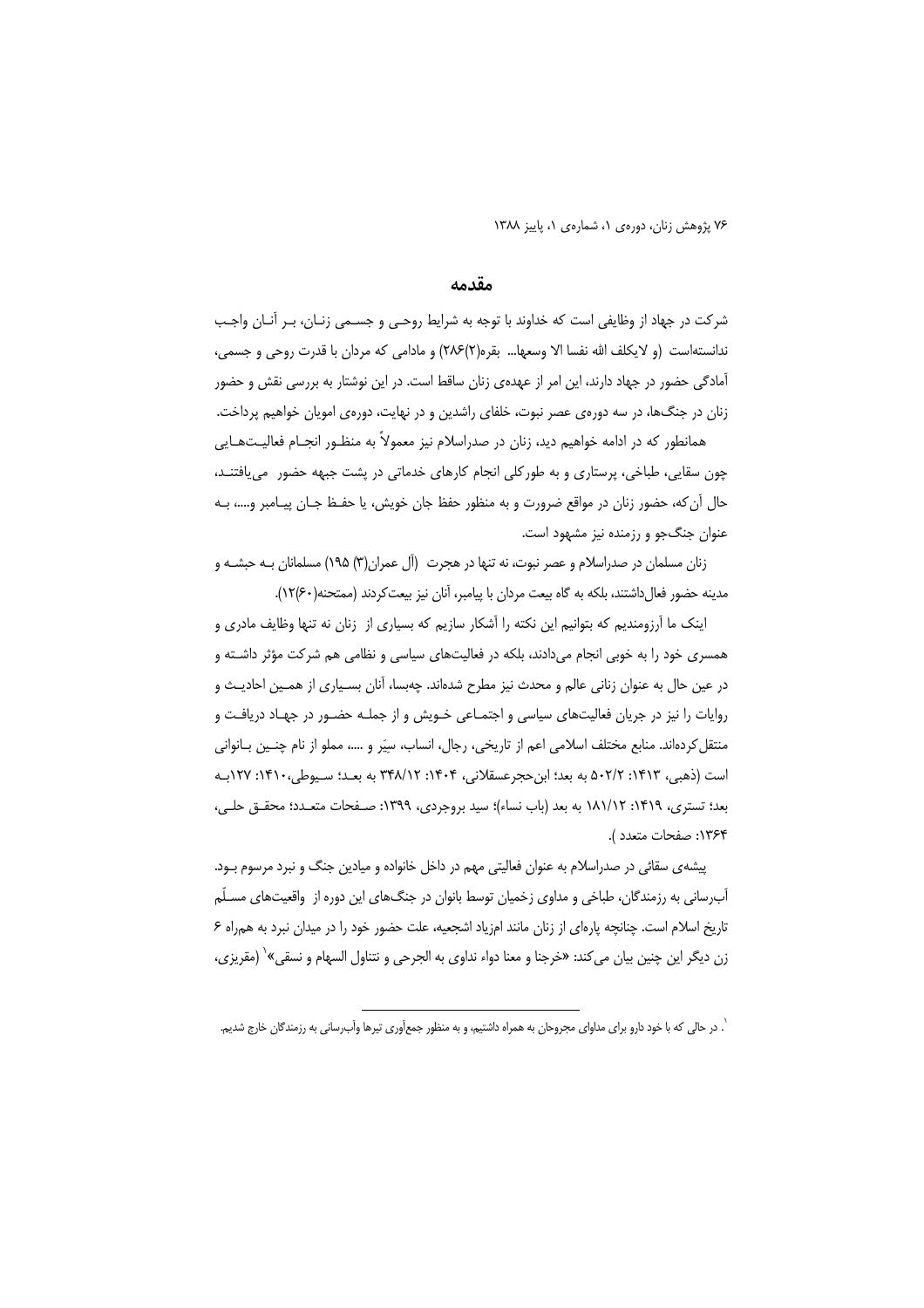#### مقدمه

شرکت در جهاد از وظایفی است که خداوند با توجه به شرایط روحـی و جســمی زنــان، بــر آنــان واجــب ندانستهاست (و لايكلف الله نفسا الا وسعها... بقره(٢)<٢٨) و مادامي كه مردان با قدرت روحي و جسمي، آمادگی حضور در جهاد دارند، این امر از عهدهی زنان ساقط است. در این نوشتار به بررسی نقش و حضور زنان در جنگ@ا، در سه دورهی عصر نبوت، خلفای راشدین و در نهایت، دورهی امویان خواهیم پرداخت. همانطور که در ادامه خواهیم دید، زنان در صدراسلام نیز معمولاً به منظـور انجــام فعالیــتهــایی

چون سقایی، طباخی، پرستاری و به طور کلی انجام کارهای خدماتی در پشت جبهه حضور ً می یافتنـد، حال آن که، حضور زنان در مواقع ضرورت و به منظور حفظ جان خویش، یا حفـظ جـان پیـامبر و....، بـه عنوان جنگجو و رزمنده نیز مشهود است.

زنان مسلمان در صدراسلام و عصر نبوت، نه تنها در هجرت (آل عمران(۳) ۱۹۵) مسلمانان بـه حبشـه و مدينه حضور فعال داشتند، بلكه به گاه بيعت مردان با پيامبر، آنان نيز بيعت كردند (ممتحنه(۶۰)۲(۶۰).

اینک ما آرزومندیم که بتوانیم این نکته را آشکار سازیم که بسیاری از زنان نه تنها وظایف مادری و همسری خود را به خوبی انجام میدادند، بلکه در فعالیتهای سیاسی و نظامی هم شرکت مؤثر داشـته و در عین حال به عنوان زنانی عالم و محدث نیز مطرح شدهاند. چهبسا، آنان بسـیاری از همـین احادیـث و روایات را نیز در جریان فعالیتهای سیاسی و اجتمـاعی خـویش و از جملـه حضـور در جهـاد دریافـت و منتقل کردهاند. منابع مختلف اسلامی اعم از تاریخی، رجال، انساب، سیّر و ….، مملو از نام چنـین بــانوانی است (ذهبي، ١٤١٣: ٥٠٢/٢ به بعد؛ ابن حجر عسقلاني، ١۴٠۴: ١٢/١٢ به بعـد؛ سـبوطي،١٤١٠: ١٢٧-١٢٧ بعد؛ تسترى، ١۴١٩: ١٨١/١٢ به بعد (باب نساء)؛ سيد بروجردى، ١٣٩٩: صـفحات متعـدد؛ محقـق حلـى، ۱۳۶۴: صفحات متعدد ).

پیشه ی سقائی در صدراسلام به عنوان فعالیتی مهم در داخل خانواده و میادین جنگ و نبرد مرسوم بـود. آب رسانی به رزمندگان، طباخی و مداوی زخمیان توسط بانوان در جنگ های این دوره از واقعیت های مسـلْم تاریخ اسلام است. چنانچه پارهای از زنان مانند امزیاد اشجعیه، علت حضور خود را در میدان نبرد به همراه ۶ زن ديگر اين چنين بيان مي كند: «خرجنا و معنا دواء نداوي به الجرحي و نتناول السهام و نسقى»` (مقريزي،

<sup>`.</sup> در حالی که با خود دارو برای مداوای مجروحان به همراه داشتیم، و به منظور جمعآوری تیرها وآب,سانی به رزمندگان خارج شدیم.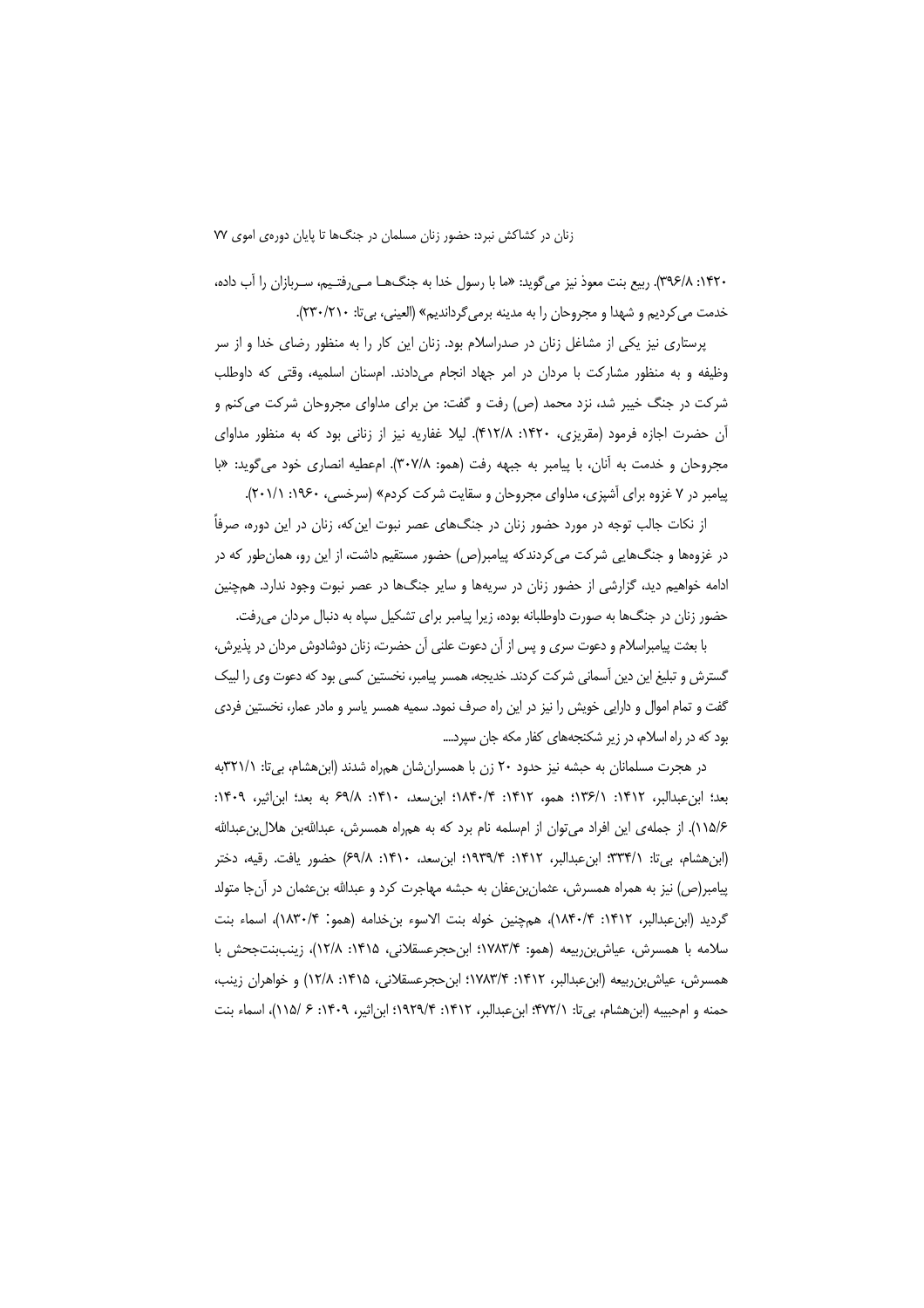۱۴۲۰: ۳۹۶/۸). ربیع بنت معوذ نیز می گوید: «ما با رسول خدا به جنگهـا مـی رفتـیم، سـربازان را آب داده، خدمت مي كرديم و شهدا و مجروحان را به مدينه برمي گردانديم» (العيني، بيتا: ٢٦٠/٢١٠).

پرستاری نیز یکی از مشاغل زنان در صدراسلام بود. زنان این کار را به منظور رضای خدا و از سر وظیفه و به منظور مشارکت با مردان در امر جهاد انجام میدادند. امسنان اسلمیه، وقتی که داوطلب شرکت در جنگ خیبر شد، نزد محمد (ص) رفت و گفت: من برای مداوای مجروحان شرکت می کنم و آن حضرت اجازه فرمود (مقریزی، ۱۴۲۰: ۴۱۲/۸). لیلا غفاریه نیز از زنانی بود که به منظور مداوای مجروحان و خدمت به آنان، با پیامبر به جبهه رفت (همو: ٣٠٧/٨). امءطیه انصاری خود می گوید: «با پیامبر در ۷ غزوه برای آشپزی، مداوای مجروحان و سقایت شرکت کردم» (سرخسی، ۱۹۶۰: ۲۰۱/۱).

از نکات جالب توجه در مورد حضور زنان در جنگـهای عصر نبوت این که، زنان در این دوره، صرفاً در غزوهها و جنگ@ایی شرکت می کردندکه پیامبر(ص) حضور مستقیم داشت، از این رو، همان طور که در ادامه خواهیم دید، گزارشی از حضور زنان در سریهها و سایر جنگها در عصر نبوت وجود ندارد. همچنین حضور زنان در جنگها به صورت داوطلبانه بوده، زیرا پیامبر برای تشکیل سپاه به دنبال مردان می رفت.

با بعثت پیامبراسلام و دعوت سری و پس از آن دعوت علنی آن حضرت، زنان دوشادوش مردان در پذیرش، گسترش و تبلیغ این دین آسمانی شرکت کردند. خدیجه، همسر پیامبر، نخستین کسی بود که دعوت وی را لبیک گفت و تمام اموال و دارایی خویش را نیز در این راه صرف نمود. سمیه همسر پاسر و مادر عمار، نخستین فردی بود که در راه اسلام، در زیر شکنجههای کفار مکه جان سیرد....

در هجرت مسلمانان به حبشه نیز حدود ۲۰ زن با همسرانِشان همراه شدند (ابنِهشام، بیuتا: ۲۲۱/۱به بعد؛ ابنِ عبدالبر، ١٣١٢: ١٣٦/١؛ همو، ١٣١٢: ١٨۴٠/۴؛ ابنِ سعد، ١٣١٠: ٩/٨٩ به بعد؛ ابنِ اثير، ١۴٠٩: ۱۱۵/۶). از جملهی این افراد می توان از امسلمه نام برد که به همراه همسرش، عبداللهبن هلال بن عبدالله (ابن هشام، بي تا: ٣٣٣/١؛ ابن عبدالبر، ١٤١٢: ١٩٣٩/٢؛ ابن سعد، ١٤١٠: ٤٩/٨) حضور يافت. رقيه، دختر پیامبر(ص) نیز به همراه همسرش، عثمان بنءفان به حبشه مهاجرت کرد و عبدالله بنءثمان در آنجا متولد گرديد (ابنعبدالبر، ١٣١٢: ١٨٣٠/۴)، هم چنين خوله بنت الاسوء بن خدامه (همو: ١٨٣٠/٣)، اسماء بنت سلامه با همسرش، عیاش بن ربیعه (همو: ۱۷۸۳/۴؛ ابن حجرعسقلانی، ۱۴۱۵: ۱۲/۸)، زینب بنت جحش با همسرش، عياش بن ربيعه (ابن عبدالبر، ١۴١٢: ١٧٨٣/۴؛ ابن حجر عسقلاني، ١۴١۵: ١٢/٨) و خواهران زينب، حمنه و ام<بيبه (ابن هشام، بي¤ا: ٢٧٢/١؛ ابن عبدالبر، ١۴١٢: ١٩٢٩/٣؛ ابن|ثير، ١۴٠٩: ۶ /١١۵/، اسماء بنت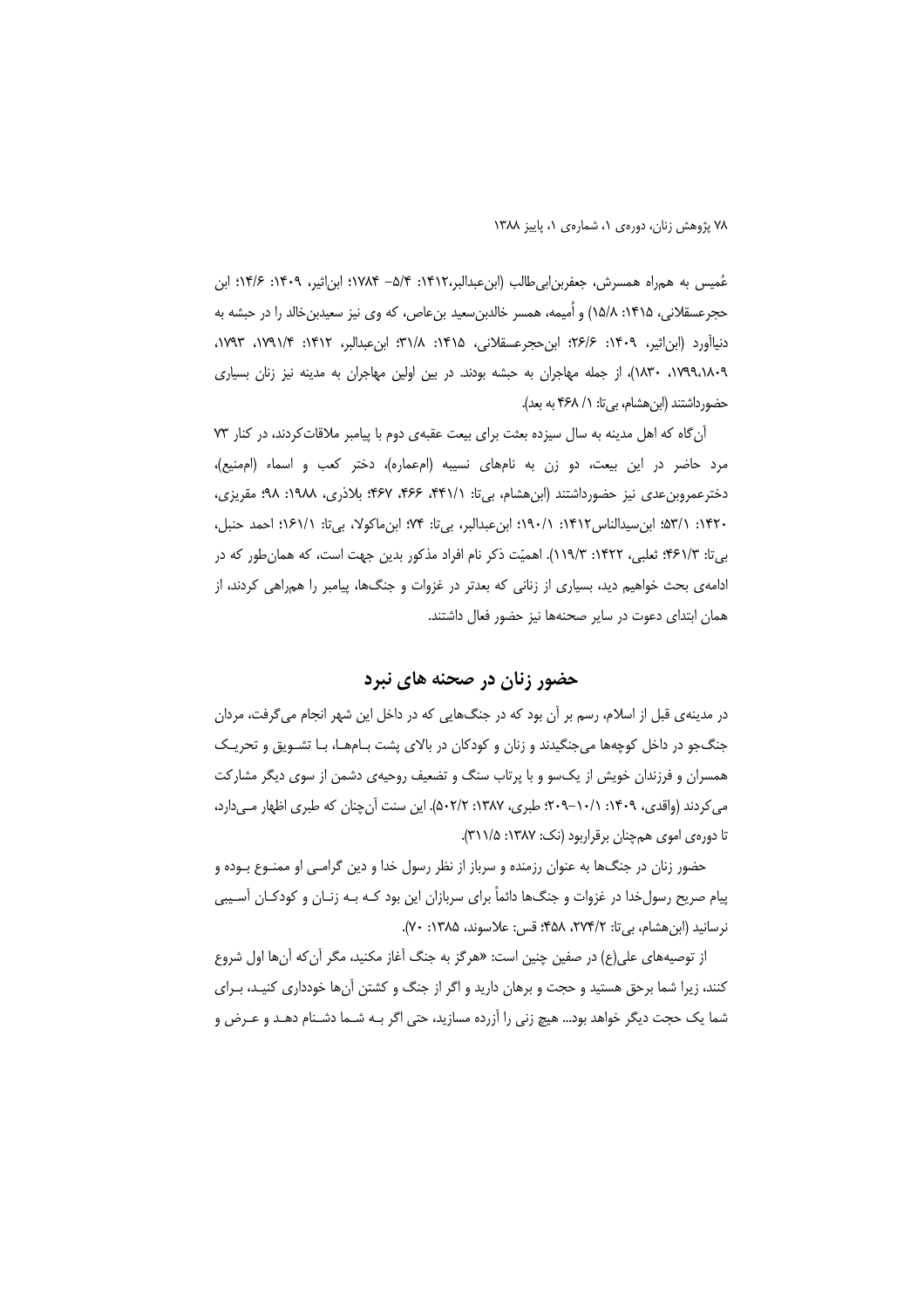عُميس به همراه همسرش، جعفربنابي طالب (ابن عبدالبر،١٤١٢: ٥/٣- ١٧٨٤؛ ابن اثير، ١٤٠٩: ١٣/۶؛ ابن حجرعسقلانی، ۱۴۱۵: ۱۵/۸) و اُمیمه، همسر خالدبنِ سعید بنِ عاص، که وی نیز سعیدبنِ خالد را در حبشه به دنیاآورد (ابن اثیر، ۱۴۰۹: ۱۶/۶: ابن حجرعسقلانی، ۱۴۱۵: ۱/۳۱: ابن عبدالبر، ۱۴۱۲: ۱/۱۷۹۲، ۱۷۹۳، ۰۱۷۹۹٬۱۸۰۹)، از جمله مهاجران به حبشه بودند. در بین اولین مهاجران به مدینه نیز زنان بسیاری حضورداشتند (ابن هشام، بي تا: ١/ ۴۶۸ به بعد).

آن گاه که اهل مدینه به سال سیزده بعثت برای بیعت عقبهی دوم با پیامبر ملاقات کردند، در کنار ۷۳ مرد حاضر در این بیعت، دو زن به نامهای نسیبه (امعماره)، دختر کعب و اسماء (اممنیع)، دخترعمروبن عدى نيز حضورداشتند (ابن هشام، بي¤ا: ۴۶۱/۱، ۴۶۶، ۴۶۷؛ بلاذري، ۱۹۸۸: ۹۸؛ مقريزي، ١۴٢٠: ٨٣/١؛ ابن سيدالناس١۴١٢: ١٩٠/١؛ ابن عبدالبر، بي تا: ٧٣؛ ابن ماكولا، بي تا: ١/١۶١/١؛ احمد حنبل، بی تا: ۴۶۱/۳: ثعلبی، ۱۴۲۲: ۱۱۹/۳). اهمیّت ذکر نام افراد مذکور بدین جهت است، که همان طور که در ادامهی بحث خواهیم دید، بسیاری از زنانی که بعدتر در غزوات و جنگها، پیامبر را همراهی کردند، از همان ابتدای دعوت در سایر صحنهها نیز حضور فعال داشتند.

## حضور زنان در صحنه های نبرد

در مدینهی قبل از اسلام، رسم بر آن بود که در جنگهایی که در داخل این شهر انجام می گرفت، مردان جنگجو در داخل کوچهها می جنگیدند و زنان و کودکان در بالای پشت بـامهـا، بـا تشـویق و تحریـک همسران و فرزندان خویش از یک سو و با پرتاب سنگ و تضعیف روحیهی دشمن از سوی دیگر مشارکت می کردند (واقدی، ۱۴۰۹: ۰/۱۰۱–۲۰۹؛ طبری، ۱۳۸۷: ۵۰۲/۲). این سنت آنچنان که طبری اظهار مـیدارد، تا دورهی اموی همچنان برقراربود (نک: ۱۳۸۷: ۲۱۱/۵).

حضور زنان در جنگها به عنوان رزمنده و سرباز از نظر رسول خدا و دین گرامـی او ممنــوع بــوده و پیام صریح رسول خدا در غزوات و جنگ۱ه دائماً برای سربازان این بود کـه بـه زنـان و کودکـان آسـیبی نرسانيد (ابن هشام، بي تا: ٢٧٣/٢، ٤٨٨؛ قس: علاسوند، ١٣٨۵: ٧٠).

از توصیههای علی(ع) در صفین چنین است: «هرگز به جنگ آغاز مکنید، مگر آن که آنها اول شروع کنند، زیرا شما برحق هستید و حجت و برهان دارید و اگر از جنگ و کشتن آنها خودداری کنیـد، بـرای شما یک حجت دیگر خواهد بود... هیچ زنی را آزرده مسازید، حتی اگر بـه شـما دشـنام دهـد و عـرض و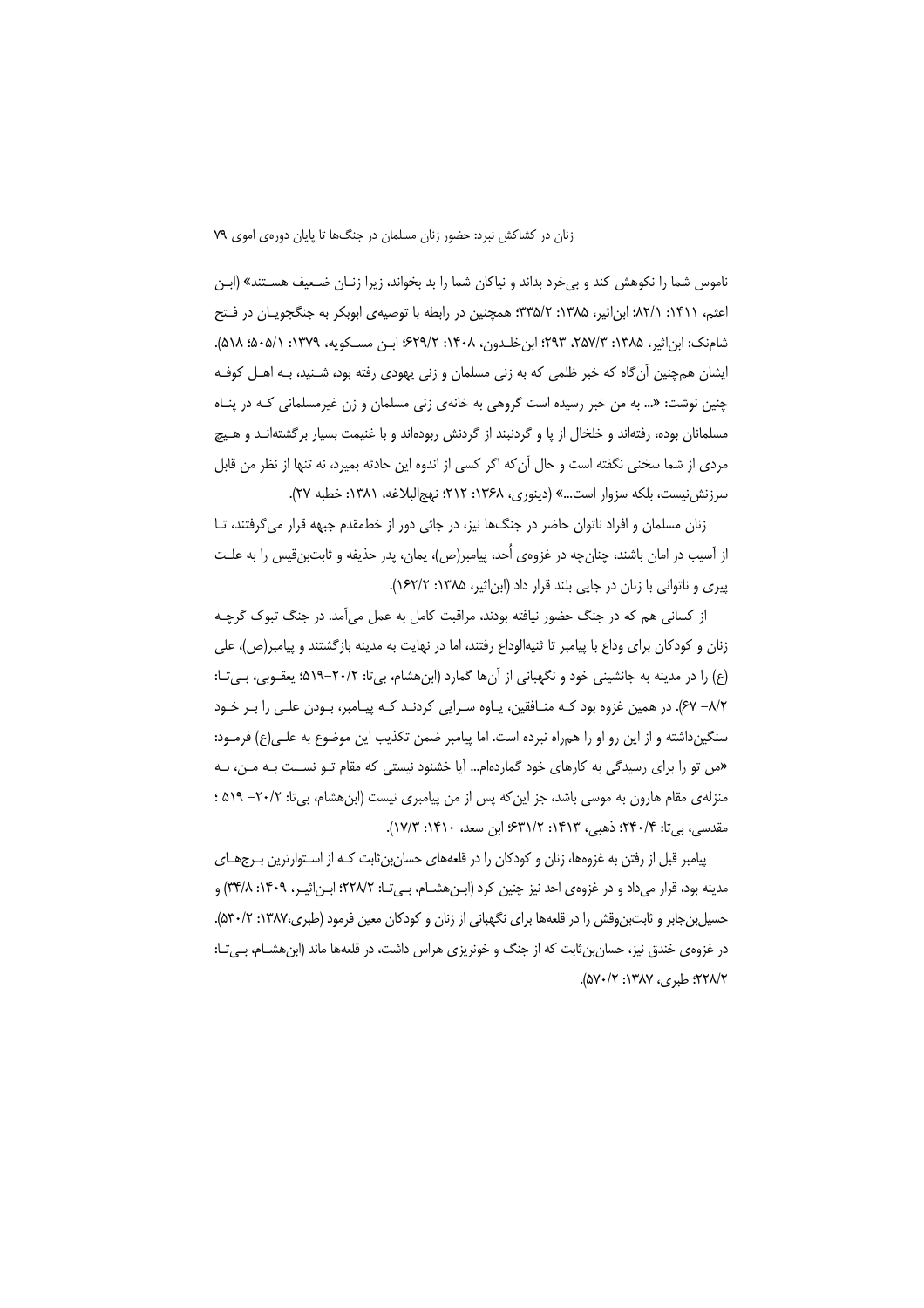ناموس شما را نکوهش کند و بیخرد بداند و نیاکان شما را بد بخواند، زیرا زنـان ضـعیف هسـتند» (ابـن اعثم، ١۴١١: ٨٢/١؛ ابن|ثير، ١٣٨۵: ٢٣۵/٢: همچنين در رابطه با توصيهى ابوبكر به جنگجويـان در فـتح شامنک: ابن|ثیر، ۱۳۸۵: ۳/۵۷، ۲۹۳؛ ابن خلـدون، ۱۴۰۸: ۶۲۹/۲؛ ابـن مســکویه، ۱۳۷۹: ۵۰۵/۱؛ ۵۰۵). ایشان همچنین آن گاه که خبر ظلمی که به زنی مسلمان و زنی یهودی رفته بود، شـنید، بـه اهـل کوفـه چنین نوشت: «... به من خبر رسیده است گروهی به خانهی زنی مسلمان و زن غیرمسلمانی کـه در پنـاه مسلمانان بوده، رفتهاند و خلخال از یا و گردنبند از گردنش ربودهاند و با غنیمت بسیار برگشتهانـد و هـیچ مردي از شما سخني نگفته است و حال آن كه اگر كسي از اندوه اين حادثه بميرد، نه تنها از نظر من قابل سرزنش نیست، بلکه سزوار است…» (دینوری، ۱۳۶۸: ۲۱۲؛ نهج|لبلاغه، ۱۳۸۱: خطبه ۲۷).

زنان مسلمان و افراد ناتوان حاضر در جنگها نیز، در جائی دور از خطمقدم جبهه قرار می گرفتند، تـا از آسیب در امان باشند، چنان چه در غزوهی اُحد، پیامبر(ص)، یمان، پدر حذیفه و ثابتبن،قیس را به علـت پیری و ناتوانی با زنان در جایی بلند قرار داد (ابن اثیر، ۱۳۸۵: ۱۶۲/۲).

از کسانی هم که در جنگ حضور نیافته بودند، مراقبت کامل به عمل میآمد. در جنگ تبوک گرچـه زنان و کودکان برای وداع با پیامبر تا ثنیهالوداع رفتند، اما در نهایت به مدینه بازگشتند و پیامبر(ص)، علی (ع) را در مدینه به جانشینی خود و نگهبانی از آن ها گمارد (ابن هشام، بی تا: ۲۰/۲–۵۱۹؛ یعقـوبی، بــی تـا: ٨/٢– ۶۷). در همين غزوه بود کـه منـافقين، پـاوه سـرايي کردنـد کـه پيـامبر، بـودن علـي را بـر خـود سنگینداشته و از این رو او را همراه نبرده است. اما پیامبر ضمن تکذیب این موضوع به علـی(ع) فرمـود: «من تو را برای رسیدگی به کارهای خود گماردهام… آیا خشنود نیستی که مقام تــو نسـبت بــه مــن، بــه منزله ی مقام هارون به موسی باشد، جز این که پس از من پیامبری نیست (ابن هشام، بیتا: ۲۰/۲– ۵۱۹ ؛ مقدسی، بی تا: ۲۴۰/۴؛ ذهبی، ۱۴۱۳: ۶۳۱/۲؛ ابن سعد، ۱۴۱۰: ۱۷/۳).

پیامبر قبل از رفتن به غزوهها، زنان و کودکان را در قلعههای حسان بنثابت کـه از اسـتوارترین بـرجهـای مدینه بود، قرار میداد و در غزوهی احد نیز چنین کرد (ابـنهشـام، بـیتـا: ۲۲۸/۲؛ ابـن|ثیـر، ۱۴۰۹: ۳۴/۸) و حسیل بن جابر و ثابت بن وقش را در قلعهها برای نگهبانی از زنان و کودکان معین فرمود (طبری،۱۳۸۷: ۲۰/۲٪). در غزوهی خندق نیز، حسان بن ثابت که از جنگ و خونریزی هراس داشت، در قلعهها ماند (ابن هشــام، بـیتـا: ٢٢٨/٢؛ طبرى، ١٣٨٧: ٥٧٠/٢).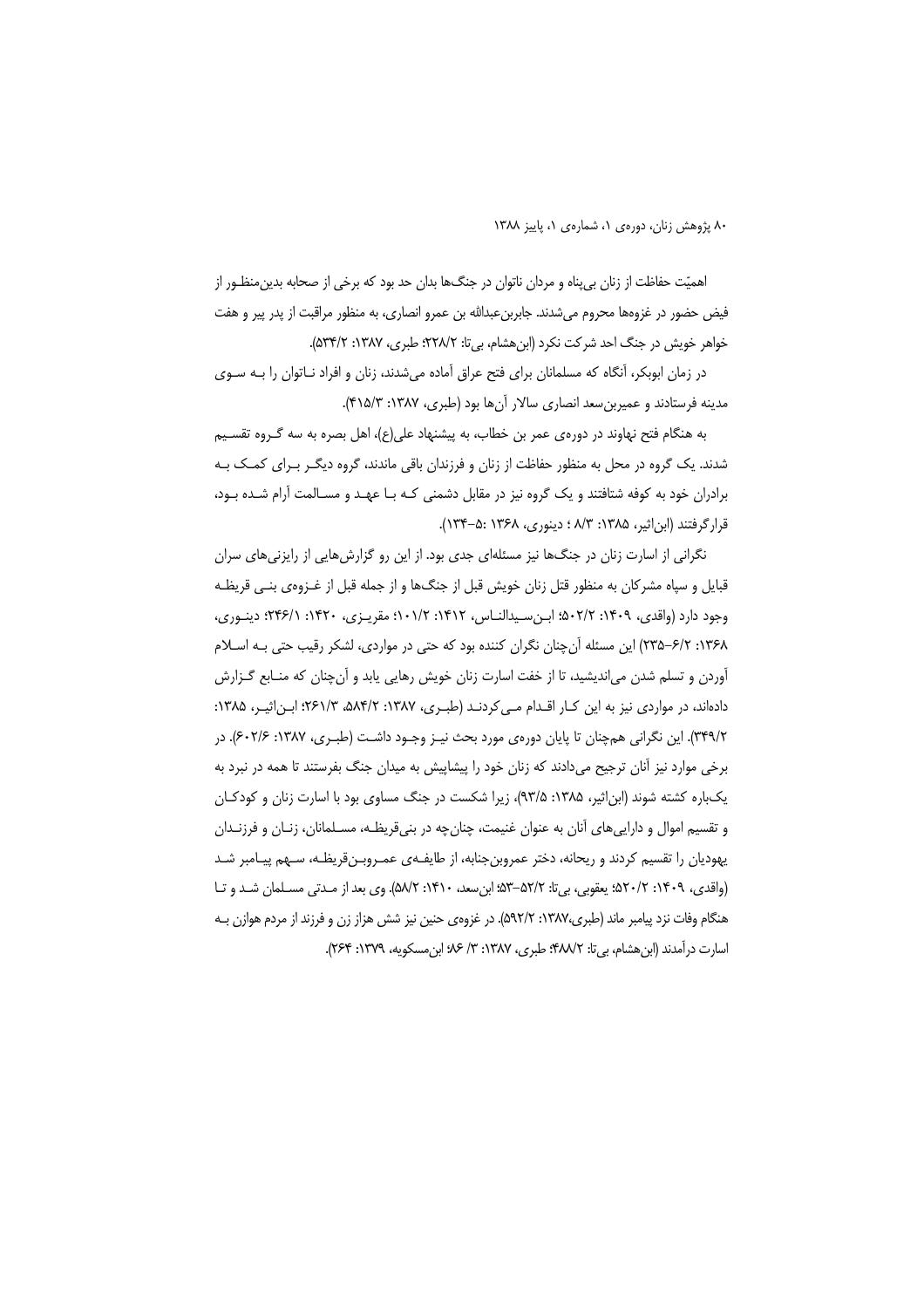اهميّت حفاظت از زنان بي بناه و مردان ناتوان در جنگ@ بدان حد بود كه برخي از صحابه بدين منظـور از فیض حضور در غزوهها محروم میشدند. جابربنعبدالله بن عمرو انصاری، به منظور مراقبت از پدر پیر و هفت خواهر خویش در جنگ احد شرکت نکرد (ابن هشام، بی تا: ۲۲۸/۲؛ طبری، ۱۳۸۷: ۵۳۴/۲).

در زمان ابوبکر، آنگاه که مسلمانان برای فتح عراق آماده می شدند، زنان و افراد نــاتوان را بــه ســوی مدينه فرستادند و عميربن سعد انصاري سالار آنها بود (طبري، ١٣٨٧: ٣١۵/٣).

به هنگام فتح نهاوند در دورهی عمر بن خطاب، به پیشنهاد علی(ع)، اهل بصره به سه گـروه تقسـیم شدند. یک گروه در محل به منظور حفاظت از زنان و فرزندان باقی ماندند، گروه دیگـر بـرای کمـک بـه برادران خود به کوفه شتافتند و یک گروه نیز در مقابل دشمنی کـه بـا عهـد و مسـالمت آرام شـده بـود، قرار گرفتند (ابن اثیر، ۱۳۸۵: ۸/۳: ۵۰ دینوری، ۱۳۶۸: ۲۳۴-۱۳۴).

نگرانی از اسارت زنان در جنگ ها نیز مسئلهای جدی بود. از این رو گزارش هایی از رایزنی های سران قبایل و سپاه مشرکان به منظور قتل زنان خویش قبل از جنگها و از جمله قبل از غــزوهی بنــی قریظـه وجود دارد (واقدی، ۱۴۰۹: ۵۰۲/۲؛ ابن سیدالنـاس، ۱۴۱۲: ۱/۰۱/۲؛ مقریـزی، ۱۴۲۰: ۲۴۶/۱؛ دینـوری، ۱۳۶۸: ۶/۲–۲۳۵) این مسئله آن چنان نگران کننده بود که حتی در مواردی، لشکر رقیب حتی بـه اسـلام آوردن و تسلم شدن می|ندیشید، تا از خفت اسارت زنان خویش رهایی پابد و آن چنان که منـابع گـزارش دادهاند، در مواردی نیز به این کـار اقـدام مـی کردنـد (طبـری، ۱۳۸۷: ۵۸۴/۲، ۳۶۱/۲)؛ ابـن/ثیـر، ۱۳۸۵: ٣٣٩/٢). این نگرانی همچنان تا پایان دورهی مورد بحث نیـز وجـود داشـت (طبـری، ١٣٨٧: ٢٠٢/۶). در برخی موارد نیز آنان ترجیح میدادند که زنان خود را پیشاپیش به میدان جنگ بفرستند تا همه در نبرد به یکباره کشته شوند (ابن|ثیر، ۱۳۸۵: ۹۳/۵)، زیرا شکست در جنگ مساوی بود با اسارت زنان و کودک|ن و تقسیم اموال و دارایی های آنان به عنوان غنیمت، چنان چه در بنی قریظـه، مسـلمانان، زنـان و فرزنـدان یهودیان را تقسیم کردند و ریحانه، دختر عمروبن جنابه، از طایفـهی عمـروبـنقریظـه، سـهم پیـامبر شـد (واقدى، ١۴٠٩: ٢/١٢٥: يعقوبي، بي¤: ٥٢/٢-٥٣: ابنِ سعد، ١۴١٠: ٥٨/٢). وي بعد از مـدتي مسـلمان شـد و تـا هنگام وفات نزد پیامبر ماند (طبری،۱۳۸۷: ۵۹۲/۲). در غزوهی حنین نیز شش هزاز زن و فرزند از مردم هوازن بـه اسارت درآمدند (ابن هشام، بي تا: ۴۸۸/۲؛ طبري، ۱۳۸۷: ۳/ ۱۶۶ ابن مسكويه، ۱۳۷۹: ۲۶۴).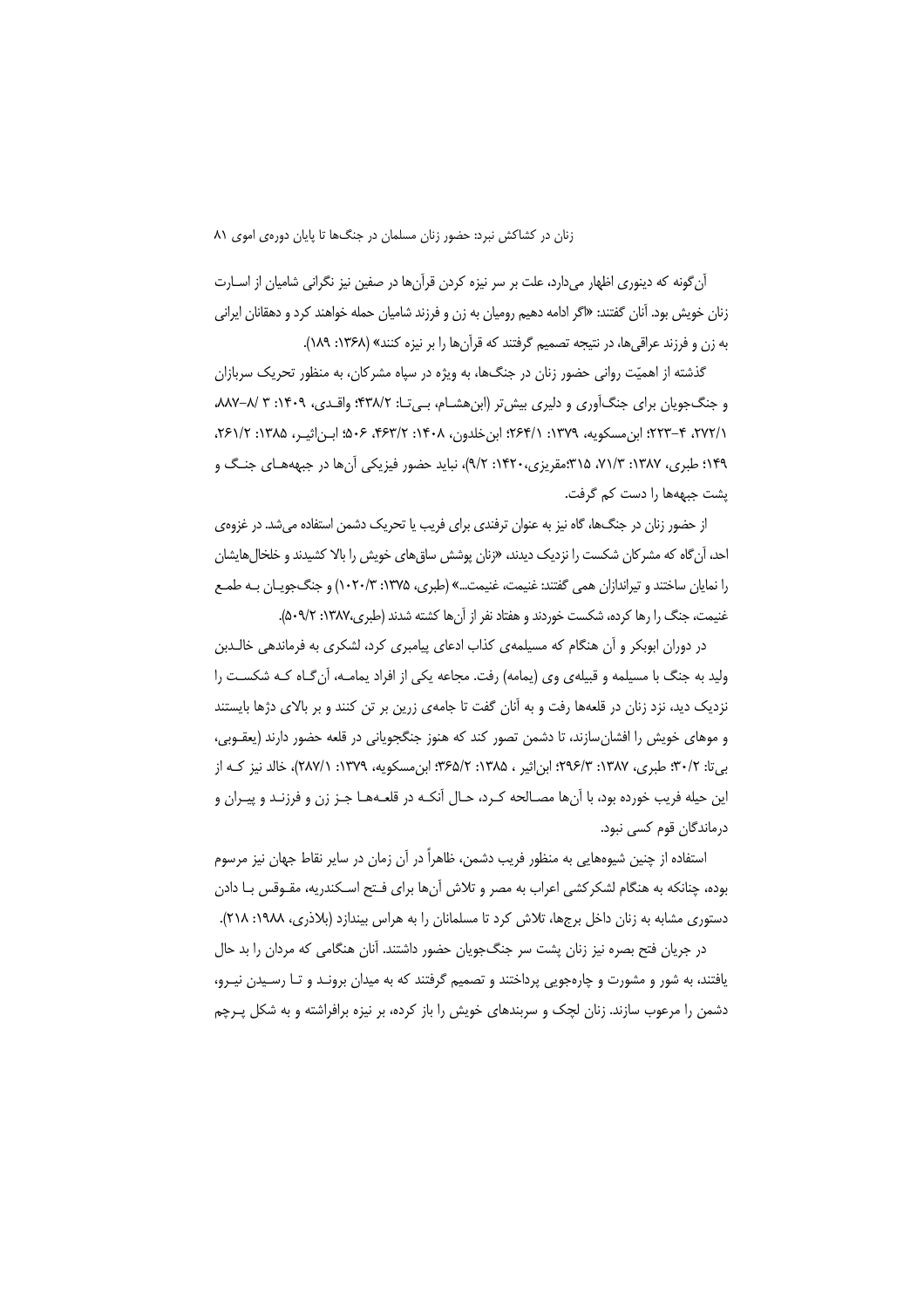آن گونه که دینوری اظهار میدارد، علت بر سر نیزه کردن قرآنها در صفین نیز نگرانی شامیان از اسـارت زنان خویش بود. آنان گفتند: «اگر ادامه دهیم رومیان به زن و فرزند شامیان حمله خواهند کرد و دهقانان ایرانی به زن و فرزند عراقیها، در نتیجه تصمیم گرفتند که قرآنها را بر نیزه کنند» (۱۳۶۸: ۱۸۹).

گذشته از اهمیّت روانی حضور زنان در جنگ@ا، به ویژه در سیاه مشرکان، به منظور تحریک سربازان و جنگ جویان برای جنگ آوری و دلیری بیش تر (ابن هشـام، بـی تـا: ۴۳۸/۲؛ واقـدی، ۰۱۴۰۹: ۳ ۸۸۷–۸۸۷ ٢٧٢/١، ۴–٢٢٣: ابن مسكويه، ١٣٧٩: ٢۶۴/١: بن خلدون، ١٤٠٨: ٢۶٣/٢، ٤٠٤: ابن اثيـر، ١٣٨۵: ٢/٢٦، ۱۴۹؛ طبری، ۱۳۸۷: ۷۱/۳، ۲۱۵؛مقریزی، ۱۴۲۰: ۹/۲)، نباید حضور فیزیکی آنها در جبهههـای جنـگ و یشت جبههها را دست کم گرفت.

از حضور زنان در جنگها، گاه نیز به عنوان ترفندی برای فریب یا تحریک دشمن استفاده می شد. در غزوهی احد، آن گاه که مشرکان شکست را نزدیک دیدند، «زنان پوشش ساق های خویش را بالا کشیدند و خلخال هایشان را نمایان ساختند و تیراندازان همی گفتند: غنیمت، غنیمت...» (طبری، ۱۳۷۵: ۱۰۲۰/۳) و جنگ جویـان بـه طمـع غنيمت، جنگ را رها كرده، شكست خوردند و هفتاد نفر از آنها كشته شدند (طبرى،۱۳۸۷: ۵۰۹/۲).

در دوران ابوبکر و آن هنگام که مسیلمهی کذاب ادعای پیامبری کرد، لشکری به فرماندهی خالـدبن ولید به جنگ با مسیلمه و قبیله ی وی (یمامه) رفت. مجاعه یکی از افراد یمامـه، آن گـاه کـه شکسـت را نزدیک دید، نزد زنان در قلعهها رفت و به آنان گفت تا جامهی زرین بر تن کنند و بر بالای دژها بایستند و موهای خویش را افشانِسازند، تا دشمن تصور کند که هنوز جنگجویانی در قلعه حضور دارند (یعقـوبی، بي تا: ٢٠/٢؛ طبري، ١٣٨٧: ٢٩۶/٣؛ ابن|ثير ، ١٣٨۵: ٢٨٥/٢؛ ابن مسكويه، ١٣٧٩: ٢٨٧/١)، خالد نيز كـه از این حیله فریب خورده بود، با آنها مصـالحه کـرد، حـال آنکـه در قلعـههـا جـز زن و فرزنـد و پیـران و درماندگان قوم کسی نبود.

استفاده از چنین شیوههایی به منظور فریب دشمن، ظاهراً در آن زمان در سایر نقاط جهان نیز مرسوم بوده، چنانکه به هنگام لشکرکشی اعراب به مصر و تلاش آنها برای فـتح اسـکندریه، مقــوقس بــا دادن دستوری مشابه به زنان داخل برجها، تلاش کرد تا مسلمانان را به هراس بیندازد (بلاذری، ۱۹۸۸: ۲۱۸).

در جریان فتح بصره نیز زنان پشت سر جنگجویان حضور داشتند. آنان هنگامی که مردان را بد حال یافتند، به شور و مشورت و چارهجویی پرداختند و تصمیم گرفتند که به میدان برونـد و تـا رسـیدن نیـرو، دشمن را مرعوب سازند. زنان لچک و سربندهای خویش را باز کرده، بر نیزه برافراشته و به شکل پـرچم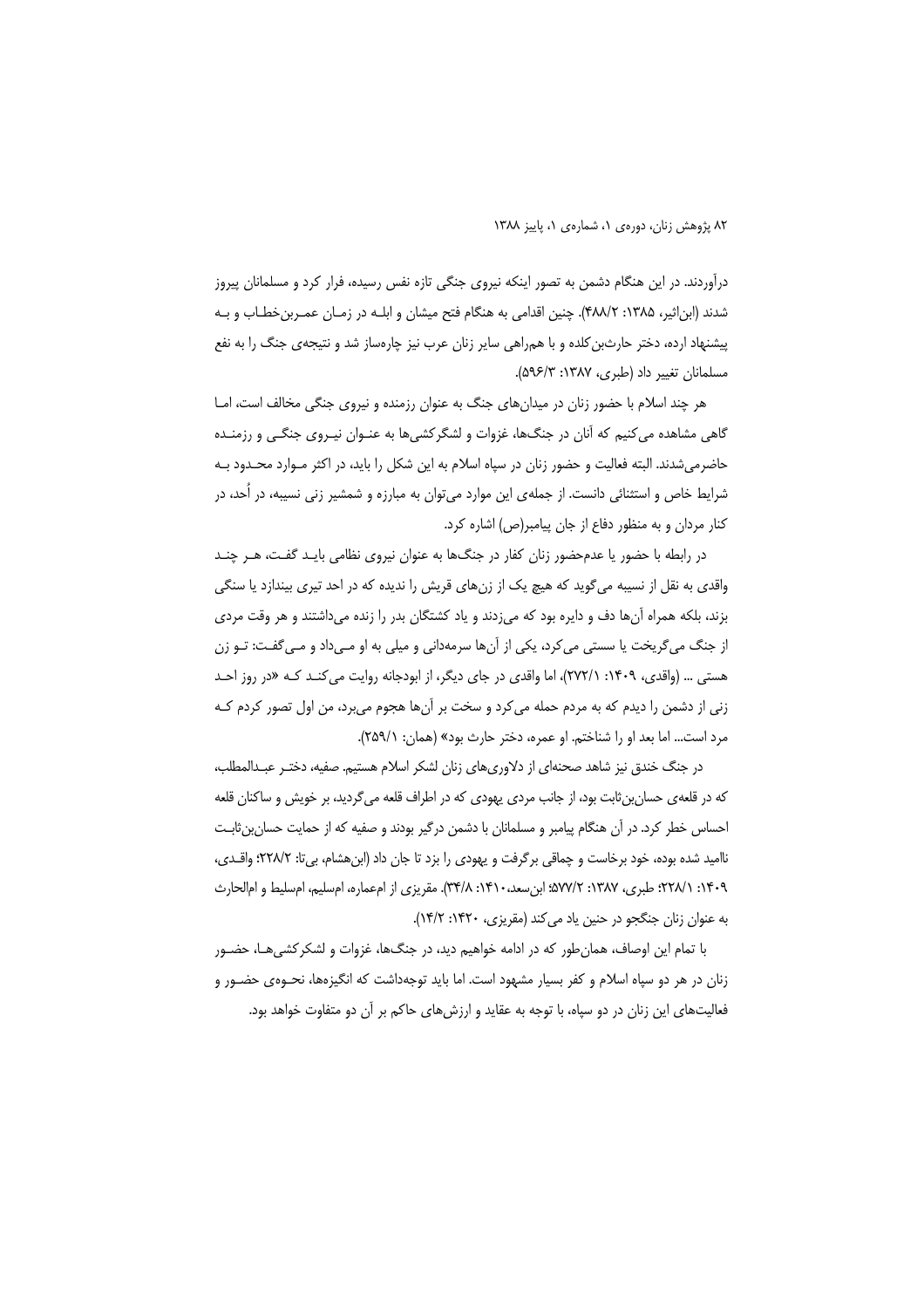درآوردند. در این هنگام دشمن به تصور اینکه نیروی جنگی تازه نفس رسیده، فرار کرد و مسلمانان پیروز شدند (ابن|ثیر، ۱۳۸۵: ۴۸۸/۲). چنین اقدامی به هنگام فتح میشان و ابلـه در زمـان عمـربن خطـاب و بـه پیشنهاد ارده، دختر حارثبن کلده و با همراهی سایر زنان عرب نیز چارهساز شد و نتیجهی جنگ را به نفع مسلمانان تغییر داد (طبری، ۱۳۸۷: ۵۹۶/۳).

هر چند اسلام با حضور زنان در میدانهای جنگ به عنوان رزمنده و نیروی جنگی مخالف است، امـا گاهی مشاهده می کنیم که آنان در جنگها، غزوات و لشگر کشی ها به عنـوان نیـروی جنگـی و رزمنـده حاضرمیشدند. البته فعالیت و حضور زنان در سپاه اسلام به این شکل را باید، در اکثر مـوارد محـدود بـه شرایط خاص و استثنائی دانست. از جملهی این موارد می توان به مبارزه و شمشیر زنی نسیبه، در اُحد، در کنار مردان و به منظور دفاع از جان پیامبر(ص) اشاره کرد.

در رابطه با حضور یا عدمحضور زنان کفار در جنگ۱ه به عنوان نیروی نظامی بایـد گفـت، هـر چنـد واقدی به نقل از نسیبه میگوید که هیچ یک از زنهای قریش را ندیده که در احد تیری بیندازد یا سنگی بزند، بلکه همراه آنها دف و دایره بود که می;دند و یاد کشتگان بدر را زنده میداشتند و هر وقت مردی از جنگ می گریخت یا سستی می کرد، یکی از آنها سرمهدانی و میلی به او مـیداد و مـی گفـت: تـو زن هستي ... (واقدي، ١۴٠٩: ٢٧٢/١)، اما واقدي در جاي ديگر، از ابودجانه روايت مي كنـد كـه «در روز احـد زنی از دشمن را دیدم که به مردم حمله می کرد و سخت بر آنها هجوم می برد، من اول تصور کردم کـه مرد است... اما بعد او را شناختم. او عمره، دختر حارث بود» (همان: ٢٥٩/١).

در جنگ خندق نیز شاهد صحنهای از دلاوریهای زنان لشکر اسلام هستیم. صفیه، دختـر عبـدالمطلب، که در قلعهی حسان بن ثابت بود، از جانب مردی یهودی که در اطراف قلعه میگردید، بر خویش و ساکنان قلعه احساس خطر کرد. در آن هنگام پیامبر و مسلمانان با دشمن درگیر بودند و صفیه که از حمایت حسان بن ثابت ناامید شده بوده، خود برخاست و چماقی برگرفت و یهودی را بزد تا جان داد (ابن هشام، بیتا: ۲۲۸/۲؛ واقـدی، ۰۱۴۰۹: ۲۲۸/۱؛ طبری، ۱۳۸۷: ۵۷۷/۲؛ ابنِ سعد، ۱۴۱۰: ۳۴/۸). مقریزی از امءعاره، ام سلیم، امسلیط و ام|لحارث به عنوان زنان جنگجو در حنین یاد می کند (مقریزی، ۱۴۲۰: ۱۴/۲).

با تمام این اوصاف، همان طور که در ادامه خواهیم دید، در جنگ۱ه، غزوات و لشکر کشی.هـا، حضــور زنان در هر دو سیاه اسلام و کفر بسیار مشهود است. اما باید توجهداشت که انگیزهها، نحـوهی حضـور و فعالیتهای این زنان در دو سپاه، با توجه به عقاید و ارزشهای حاکم بر آن دو متفاوت خواهد بود.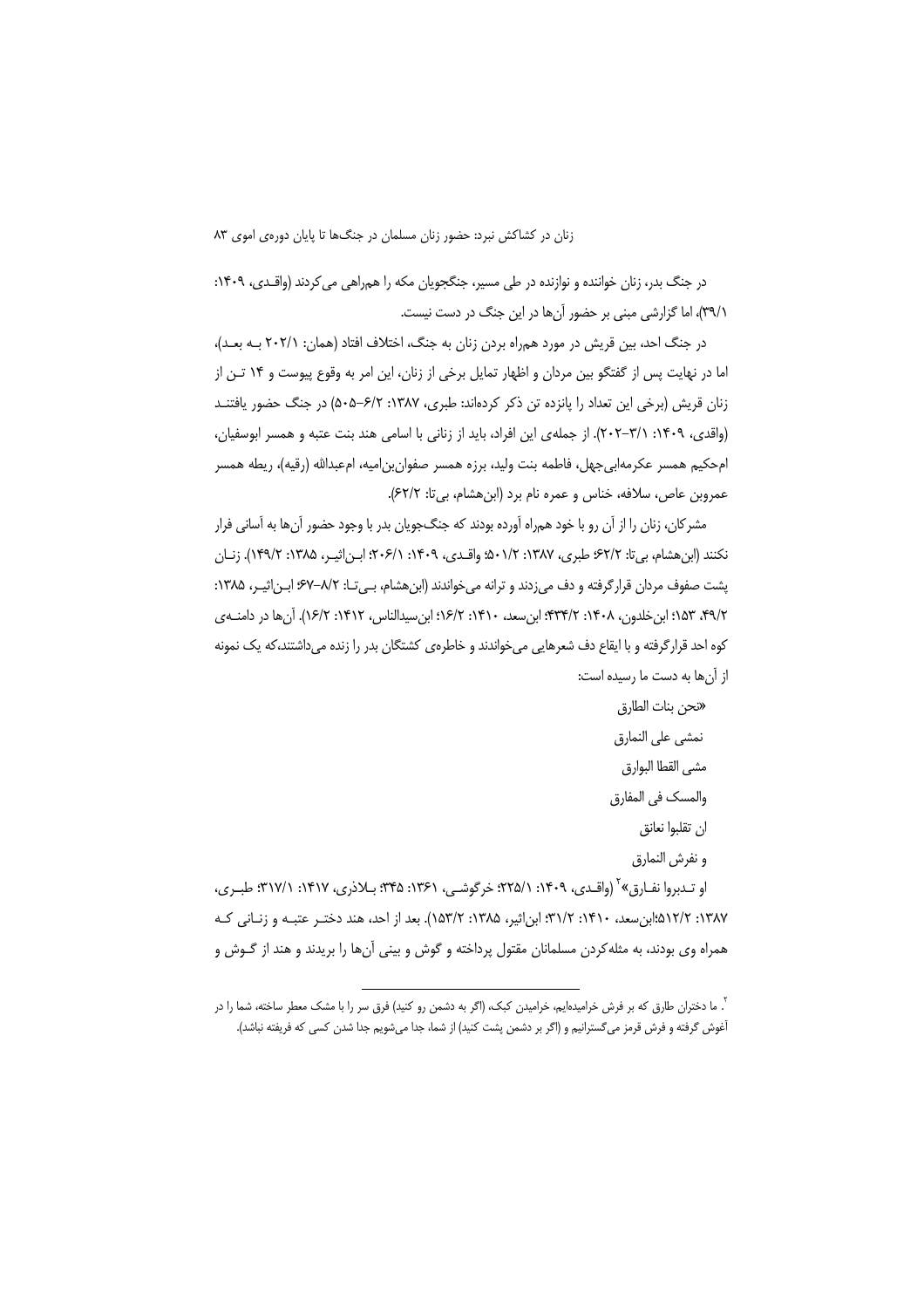در جنگ بدر، زنان خواننده و نوازنده در طی مسیر، جنگجویان مکه را همراهی می کردند (واقـدی، ۱۴۰۹: ۳۹/۱)، اما گزارشی مبنی بر حضور آنها در این جنگ در دست نیست.

در جنگ احد، بین قریش در مورد همراه بردن زنان به جنگ، اختلاف افتاد (همان: ۲۰۲/۱ بـه بعـد)، اما در نهایت پس از گفتگو بین مردان و اظهار تمایل برخی از زنان، این امر به وقوع پیوست و ۱۴ تـن از زنان قریش (برخی این تعداد را پانزده تن ذکر کردهاند: طبری، ۱۳۸۷: ۶/۲–۵۰۵) در جنگ حضور یافتنـد (واقدی، ۱۴۰۹: ۲/۱–۲۰۲). از جمله ی این افراد، باید از زنانی با اسامی هند بنت عتبه و همسر ابوسفیان، ام حكيم همسر عكرمهابي جهل، فاطمه بنت وليد، برزه همسر صفوان بن|ميه، امعبدالله (رقيه)، ريطه همسر عمروبن عاص، سلافه، خناس و عمره نام برد (ابن هشام، بي تا: ٤٢/٢).

مشرکان، زنان را از آن رو با خود همراه آورده بودند که جنگ جویان بدر با وجود حضور آنها به آسانی فرار نكنند (ابن هشام، بي تا: ٢/٢٦؛ طبري، ١٣٨٧: ١/١٠٤: ٥٠١/٢، ٥٩: ١٣٠/١: ٢٠۶/١؛ ابـن|ثيـر، ١٣٨٥: ١٣٩/٢). زنـان پشت صفوف مردان قرار گرفته و دف میزدند و ترانه میخواندند (ابن هشام، بـیتـا: ۸/۲–۶۷؛ ابـن|ثیـر، ۱۳۸۵: ۴۹/۲، ۱۵۳، این خلدون، ۱۴۰۸: ۴۳۴/۲: این سعد، ۱۴۱۰: ۱۶/۲؛ این سیدالناس، ۱۴۱۲: ۱۶/۲). آن ها در دامنــه ی کوه احد قرارگرفته و با ایقاع دف شعرهایی میخواندند و خاطرهی کشتگان بدر را زنده میداشتند،که یک نمونه از آن ها به دست ما رسیده است:

> «نحن بنات الطارق نمشى على النمارق مشى القطا البوارق والمسك في المفارق ان تقلبوا نعانق و نفرش النمارق

او تــدبروا نفــارق» (راقــدي، ١۴٠٩: ٢٢۵/١): خرگوشــي، ١٣۶١: ٣٣۵: بــلاذري، ١۴١٧: ٣١٧/١): طبــري، ۱۳۸۷: ۵۱۲/۲؛ ۱۴۱۰؛ ۱۳۸۰: ۳۱/۲؛ ابن|ثیر، ۱۳۸۵: ۱۵۳/۲). بعد از احد، هند دختـر عتبـه و زنـانی کـه همراه وی بودند، به مثله کردن مسلمانان مقتول پرداخته و گوش و بینی آنها را بریدند و هند از گـوش و

<sup>&</sup>lt;sup>٢</sup>. ما دختران طارق كه بر فرش خراميدهايم، خراميدن كبك، (اگر به دشمن رو كنيد) فرق سر را با مشك معطر ساخته، شما را در أغوش گرفته و فرش قرمز میگسترانیم و (اگر بر دشمن پشت کنید) از شما، جدا میشویم جدا شدن کسی که فریفته نباشد).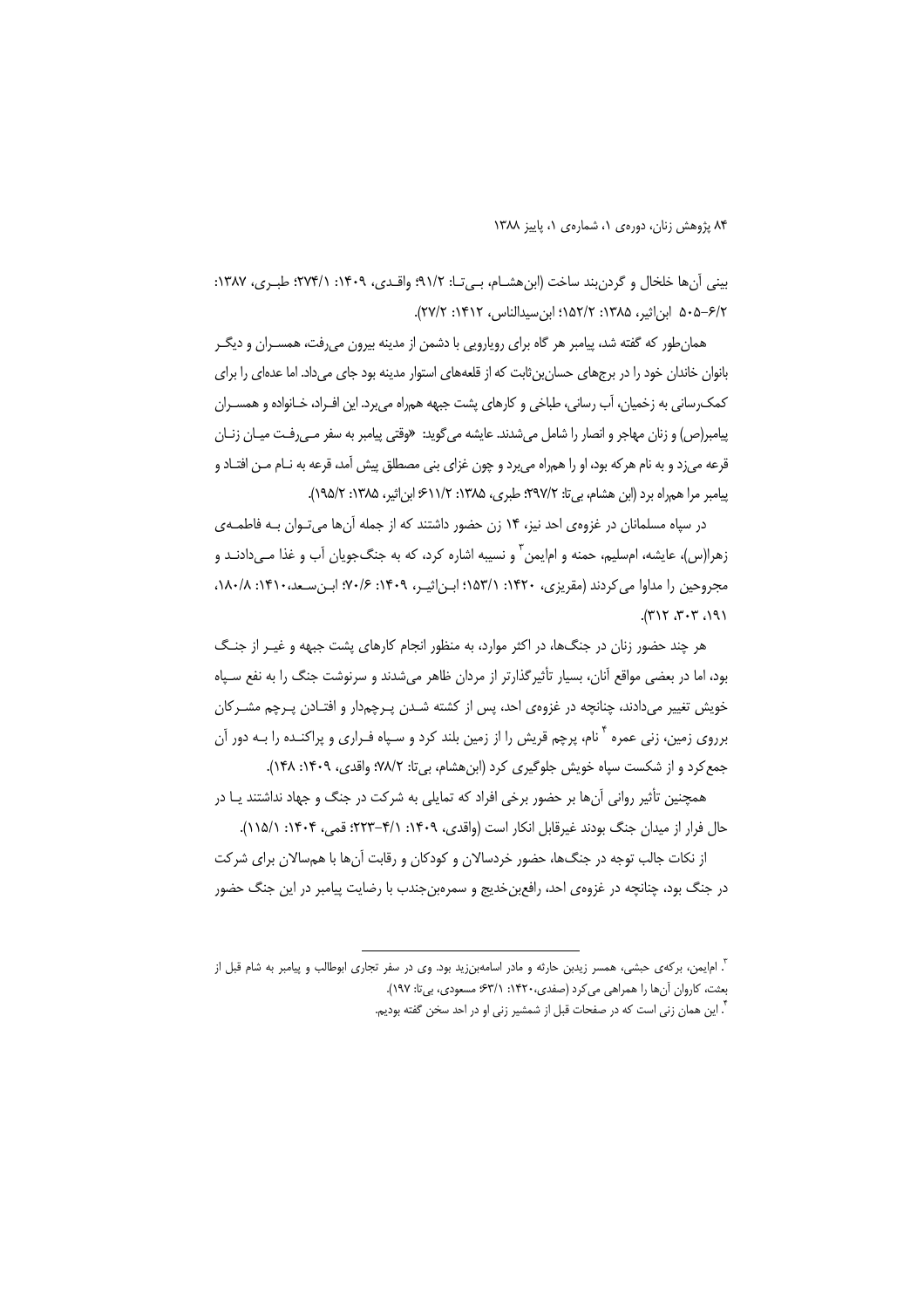بيني أنها خلخال و گردن بند ساخت (ابن هشـام، بـي تـا: ٩١/٢؛ واقـدي، ١۴٠٩: ٢٧۴/١: طبـري، ١٣٨٧: ۶/۲–۰۵۵ ابن اثیر، ۱۳۸۵: ۲/۲۵۲: ابن سیدالناس، ۱۴۱۲: ۲۷/۲).

همان طور که گفته شد، پیامبر هر گاه برای روپارویی با دشمن از مدینه بیرون می رفت، همســران و دیگــر بانوان خاندان خود را در برجهای حسان بن ثابت که از قلعههای استوار مدینه بود جای می داد. اما عدهای را برای کمک رسانی به زخمیان، آب رسانی، طباخی و کارهای پشت جبهه همراه می برد. این افـراد، خـانواده و همســران پیامبر(ص) و زنان مهاجر و انصار را شامل می شدند. عایشه می گوید: «وقتی پیامبر به سفر مـی رفـت میـان زنـان قرعه میزد و به نام هرکه بود، او را همراه میبرد و چون غزای بنی مصطلق پیش آمد، قرعه به نـام مـن افتـاد و ییامبر مرا همراه برد (ابن هشام، بی تا: ۲۹۷/۲؛ طبری، ۱۳۸۵: ۱/۱/۶؛ ابن اثیر، ۱۳۸۵: ۱۹۵/۲).

در سیاه مسلمانان در غزوهی احد نیز، ۱۴ زن حضور داشتند که از جمله آنها می تـوان بـه فاطمـهی زهرا(س)، عایشه، امسلیم، حمنه و امایمن ؓ و نسیبه اشاره کرد، که به جنگeجویان آب و غذا مـیcادنـد و مجروحین را مداوا می کردند (مقریزی، ۱۴۲۰: ۱۵۳/۱: ابـن|ثیـر، ۱۴۰۹: ۰/۶۰٪ ابـن سـعد،۱۴۱۰: ۱۸۰۸،  $(196, 7.7, 7(7)).$ 

هر چند حضور زنان در جنگ۱ه، در اکثر موارد، به منظور انجام کارهای پشت جبهه و غیـر از جنـگ بود، اما در بعضی مواقع آنان، بسیار تأثیرگذارتر از مردان ظاهر می شدند و سرنوشت جنگ را به نفع سـیاه خویش تغییر می،دادند، چنانچه در غزوهی احد، پس از کشته شـدن پـرچمدار و افتـادن پـرچم مشـرکان برروی زمین، زنی عمره <sup>۲</sup> نام، پرچم قریش را از زمین بلند کرد و سـپاه فـراری و پراکنـده را بـه دور آن جمع کرد و از شکست سپاه خویش جلوگیری کرد (ابن هشام، بیتا: ۷۸/۲؛ واقدی، ۱۴۰۹: ۱۴۸).

همچنین تأثیر روانی آنها بر حضور برخی افراد که تمایلی به شرکت در جنگ و جهاد نداشتند یـا در حال فرار از میدان جنگ بودند غیرقابل انکار است (واقدی، ۴۰۹: ۴/۱–۲۲۳؛ قمی، ۱۴۰۴: ۱۱۵/۱).

از نکات جالب توجه در جنگها، حضور خردسالان و کودکان و رقابت آنها با همسالان برای شرکت در جنگ بود، چنانچه در غزوهی احد، رافعبنخدیج و سمرهبنجندب با رضایت پیامبر در این جنگ حضور

<sup>۴</sup>. این همان زنی است که در صفحات قبل از شمشیر زنی او در احد سخن گفته بودیم.

<sup>&</sup>lt;sup>"</sup>. ام|یمن، برکهی حبشی، همسر زیدبن حارثه و مادر اسامهبنزید بود. وی در سفر تجاری ابوطالب و پیامبر به شام قبل از بعثت، كاروان آنها را همراهي مي كرد (صفدي، ١٤٢٠: ٣٣/١؛ مسعودي، بي تا: ١٩٧).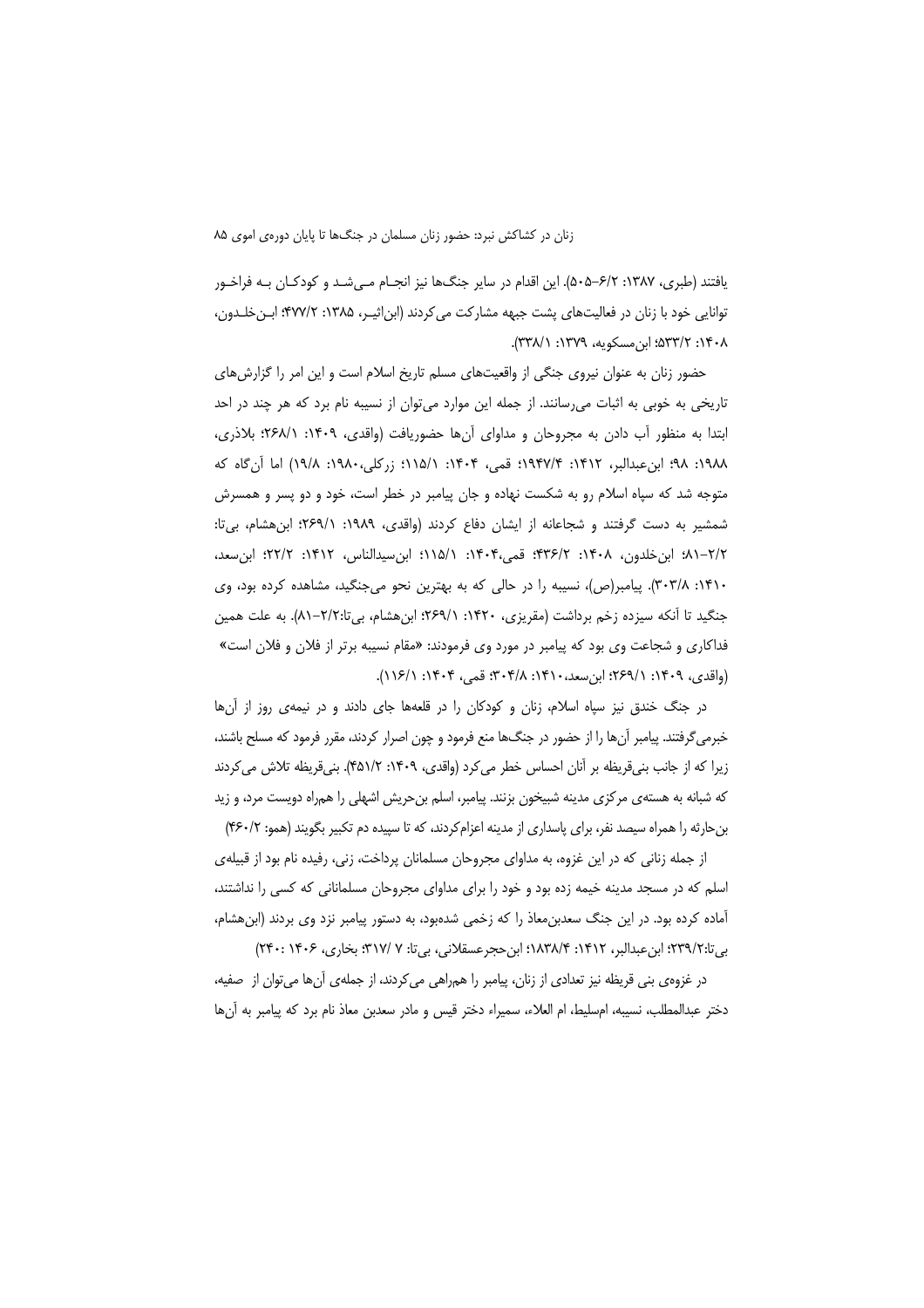يافتند (طبري، ١٣٨٧: ٤٠٢-٥٠۵). اين اقدام در ساير جنگها نيز انجـام مـيشـد و كودكـان بـه فراخـور توانایی خود با زنان در فعالیتهای پشت جبهه مشارکت می کردند (ابناثیـر، ۱۳۸۵: ۲۷۷/۲؛ ابـن خلـدون، ٠١٣٠٨): ٢/٣٣٥: ابن مسكويه، ١٣٧٩: ١٨٣٣١).

حضور زنان به عنوان نیروی جنگی از واقعیتهای مسلم تاریخ اسلام است و این امر را گزارش های تاریخی به خوبی به اثبات می رسانند. از جمله این موارد می توان از نسیبه نام برد که هر چند در احد ابتدا به منظور آب دادن به مجروحان و مداوای آنها حضوریافت (واقدی، ۱۴۰۹: ۲۶۸/۱)؛ بلاذری، ١٩٨٨: ٩٨؛ ابنءبدالبر، ١۴١٢: ١٩۴٧/۴: قمي، ١٤٠۴: ١١۵/١؛ زركلي،١٩٨٠: ١٩/٨) اما آن گاه كه متوجه شد که سپاه اسلام رو به شکست نهاده و جان پیامبر در خطر است، خود و دو پسر و همسرش شمشیر به دست گرفتند و شجاعانه از ایشان دفاع کردند (واقدی، ۱۹۸۹: ۲۶۹/۱)؛ ابن هشام، بی تا: ٢/٢–٨١: ابن خلدون، ١۴٠٨: ٢/٣۶: قمي،١۴٠۴: ١١٥/١؛ ابن سيدالناس، ١۴١٢: ٢٢/٢؛ ابن سعد، ۱۴۱۰: ۳۰۲/۸). پیامبر(ص)، نسیبه را در حالی که به بهترین نحو می جنگید، مشاهده کرده بود، وی جنگید تا آنکه سیزده زخم برداشت (مقریزی، ۱۴۲۰: ۲/۶۹/۱؛ ابن هشام، بیتا:۲/۲–۸۱). به علت همین فداکاری و شجاعت وی بود که پیامبر در مورد وی فرمودند: «مقام نسیبه برتر از فلان و فلان است» (واقدي، ١٤٠٩: ٢١٤٩١: ١٣٩٧): لن سعد، ١٣١٠: ٣٠٢/٨: قمي، ١١٤/٢: ١١٤/١١).

در جنگ خندق نیز سیاه اسلام، زنان و کودکان را در قلعهها جای دادند و در نیمهی روز از آنها خبرمی گرفتند. پیامبر آنها را از حضور در جنگها منع فرمود و چون اصرار کردند، مقرر فرمود که مسلح باشند، زیرا که از جانب بنیقریظه بر آنان احساس خطر می کرد (واقدی، ۱۴۰۹: ۴۵۱/۲). بنیقریظه تلاش می کردند که شبانه به هستهی مرکزی مدینه شبیخون بزنند. پیامبر، اسلم بنحریش اشهلی را همراه دویست مرد، و زید بن حارثه را همراه سیصد نفر، برای پاسداری از مدینه اعزام کردند، که تا سپیده دم تکبیر بگویند (همو: ۴۶۰/۲)

از جمله زنانی که در این غزوه، به مداوای مجروحان مسلمانان پرداخت، زنی، رفیده نام بود از قبیلهی اسلم که در مسجد مدینه خیمه زده بود و خود را برای مداوای مجروحان مسلمانانی که کسی را نداشتند، آماده کرده بود. در این جنگ سعدبنِ معاذ را که زخمی شدهبود، به دستور پیامبر نزد وی بردند (ابنِ هشام،

بي تا:٢٣٩/٢؛ ابن عبدالبر، ١٣١٢: ١٨٣٨/۴؛ ابن حجر عسقلاني، بي تا: ٧ /٣١٧، بخاري، ١۴٠۶ : ٢۴٠) در غزوهی بنی قریظه نیز تعدادی از زنان، پیامبر را همراهی می کردند، از جملهی آنها می¤وان از صفیه، دختر عبدالمطلب، نسيبه، ام٬ليط، ام العلاء، سميراء دختر قيس و مادر سعدبن معاذ نام برد كه پيامبر به أنها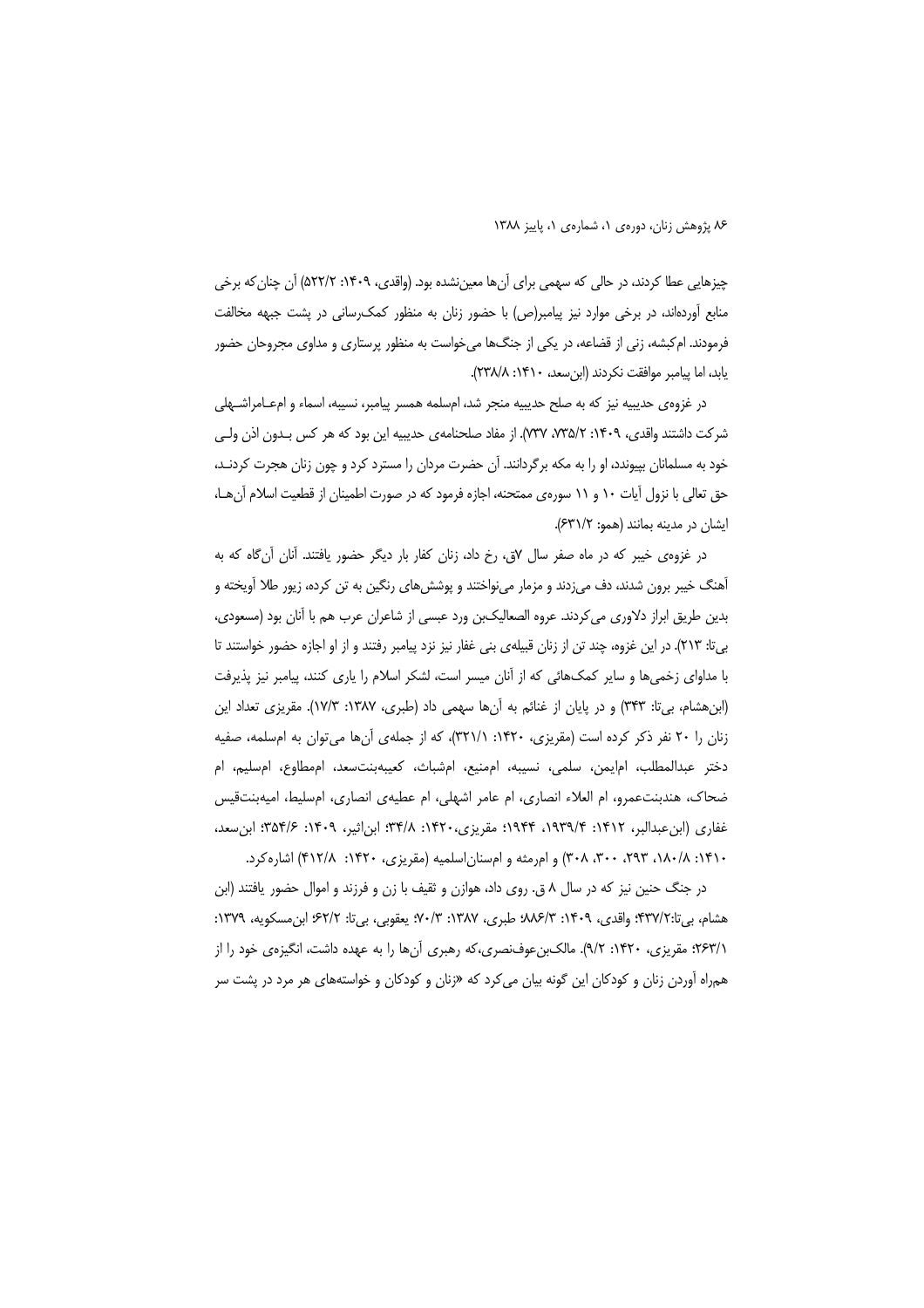چیزهایی عطا کردند، در حالی که سهمی برای آنها معین نشده بود. (واقدی، ۱۴۰۹: ۵۲۲/۲) آن چنان که برخی منابع آوردهاند، در برخی موارد نیز پیامبر(ص) با حضور زنان به منظور کمک(سانی در پشت جبهه مخالفت فرمودند. ام کبشه، زنی از قضاعه، در یکی از جنگها میخواست به منظور پرستاری و مداوی مجروحان حضور يابد، اما ييامبر موافقت نكردند (ابن سعد، ١۴١٠: ٢٣٨/٨).

در غزوەي حديبيه نيز كه به صلح حديبيه منجر شد، امسلمه همسر پيامبر، نسيبه، اسماء و امعــامراشــهلى شر كت داشتند واقدى، ١۴٠٩: ٧٣٥/٢، ٧٣٧). از مفاد صلحنامه ي حديبيه اين بود كه هر كس بـدون اذن ولـي خود به مسلمانان بپیونده، او را به مکه برگردانند. آن حضرت مردان را مسترد کرد و چون زنان هجرت کردنـد، حق تعالی با نزول آیات ۱۰ و ۱۱ سوره یمتحنه، اجازه فرمود که در صورت اطمینان از قطعیت اسلام آن هـا، ایشان در مدینه بمانند (همو: ۶۳۱/۲).

در غزوهی خیبر که در ماه صفر سال ۷ق، رخ داد، زنان کفار بار دیگر حضور یافتند. آنان آن گاه که به آهنگ خیبر برون شدند، دف میزدند و مزمار مینواختند و پوشش های رنگین به تن کرده، زیور طلا آویخته و بدین طریق ابراز دلاوری می کردند. عروه الصعالیکبن ورد عبسی از شاعران عرب هم با آنان بود (مسعودی، بی تا: ٢١٣). در این غزوه، چند تن از زنان قبیلهی بنی غفار نیز نزد پیامبر رفتند و از او اجازه حضور خواستند تا با مداوای زخمی ها و سایر کمک هائی که از آنان میسر است، لشکر اسلام را یاری کنند، پیامبر نیز پذیرفت (ابن هشام، بیتا: ٣۴٣) و در پایان از غنائم به آنها سهمی داد (طبری، ١٣٨٧: ١٧/٣). مقریزی تعداد این زنان را ۲۰ نفر ذکر کرده است (مقریزی، ۱۴۲۰: ۲۲۱/۱)، که از جملهی آنها می توان به امسلمه، صفیه دختر عبدالمطلب، ام|يمن، سلمي، نسيبه، اممنيع، امشباث، كعيبهبنتسعد، اممطاوع، امسليم، ام ضحاک، هندبنتعمرو، ام العلاء انصاری، ام عامر اشهلی، ام عطیهی انصاری، امسلیط، امیهبنتقیس غفاري (ابن عبدالبر، ١٤١٢: ١٩٣٩/٢، ١٩٣۴؛ مقريزي،١۴٢٠: ٣٨/٨؛ ابن|ثير، ١۴٠٩: ٣۵۴/۶؛ ابن سعد، ۱۴۱۰: ۲۸۰/۸، ۳۶۲، ۳۰۰، ۳۰۸) و امرمثه و امسناناسلمیه (مقریزی، ۱۴۲۰: ۴۱۲/۸) اشارهکرد.

در جنگ حنین نیز که در سال ۸ ق. روی داد، هوازن و ثقیف با زن و فرزند و اموال حضور یافتند (ابن هشام، بيi:٣٣٧/٢: واقدى، ١۴٠٩: ٩٨۶/٣: طبرى، ١٣٨٧: ٧٠/٣: يعقوبي، بيi: ٤٢/٢؛ ابنِ مسكويه، ١٣٧٩: ٢/٢٣: مقریزی، ١۴٢٠: ٩/٢). مالکبنعوفنصری،که رهبری آنها را به عهده داشت، انگیزهی خود را از همراه آوردن زنان و کودکان این گونه بیان میکرد که «زنان و کودکان و خواستههای هر مرد در پشت سر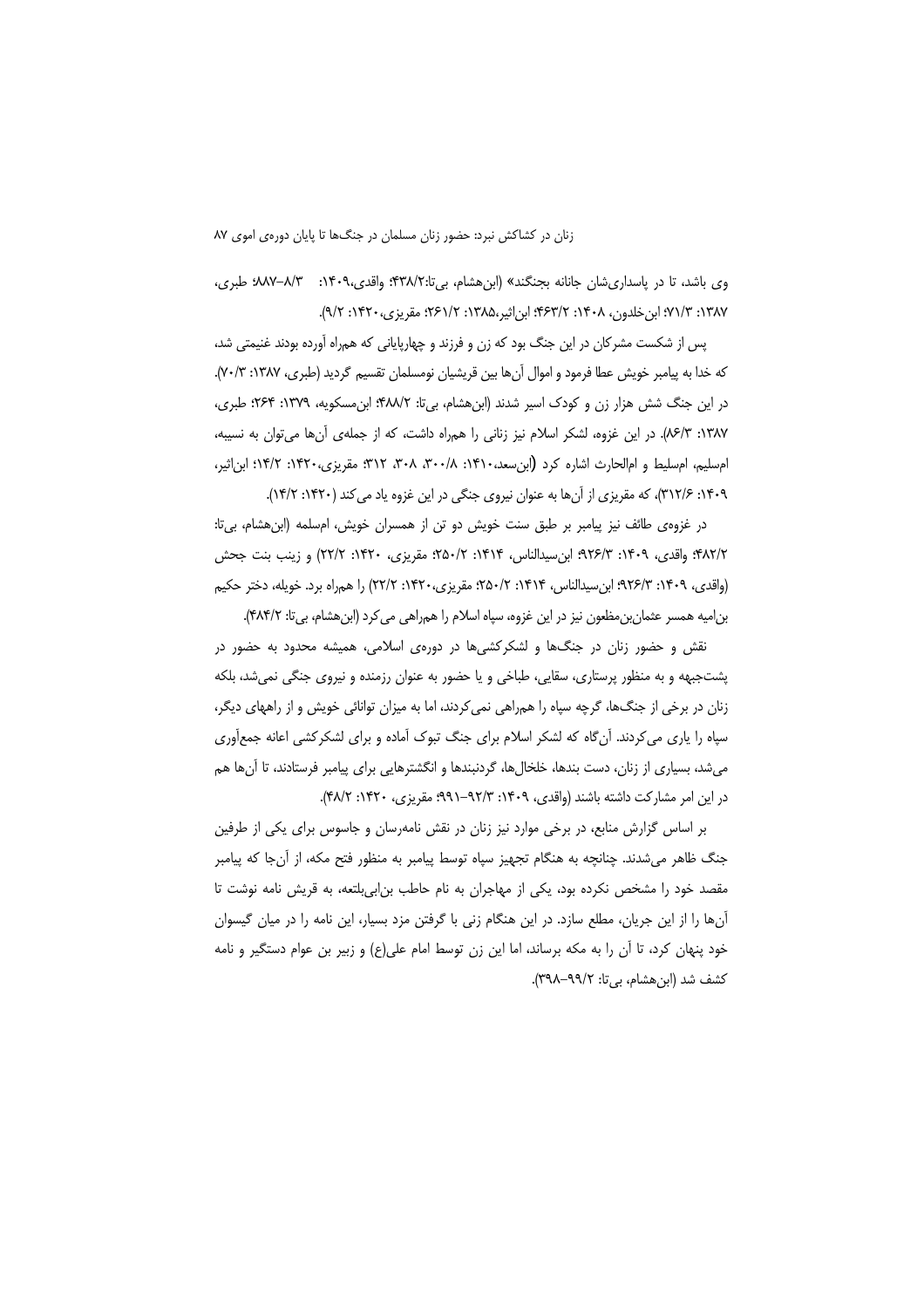وی باشد، تا در پاسداری شان جانانه بجنگند» (ابن هشام، بی تا:۴۳۸/۲)؛ واقدی،۴۰۹، "۰۸۷–۰۸۷؛ طبری، ١٣٨٧: ٧/٧: ابن خلدون، ١۴٠٨: ٢/٣۶٣: ابن|ثير،١٣٨۵: ٢/٢٦: مقريزي، ١٤٢٠: ٩/٢).

یس از شکست مشرکان در این جنگ بود که زن و فرزند و چهارپایانی که همراه آورده بودند غنیمتی شد، که خدا به پیامبر خویش عطا فرمود و اموال آنها بین قریشیان نومسلمان تقسیم گردید (طبری، ۱۳۸۷: ۷۰/۳). در این جنگ شش هزار زن و کودک اسیر شدند (ابن هشام، بی تا: ۴۸۸/۲؛ ابن مسکویه، ۱۳۷۹: ۲۶۴؛ طبری، ۱۳۸۷: ۸۶/۳). در این غزوه، لشکر اسلام نیز زنانی را همراه داشت، که از جملهی آنها می توان به نسیبه، ام سلیم، ام سلیط و ام الحارث اشاره کرد (ابن سعد،۱۴۱۰، ۲۰۰۸، ۳۰۸، ۳۱۲؛ مقریزی،۱۴۲۰؛ ۱۴/۲؛ ابن اثیر، ۱۴۰۹: ۳۱۲/۶)، که مقریزی از آنها به عنوان نیروی جنگی در این غزوه یاد میکند (۱۴۲۰: ۱۴/۲).

در غزوەي طائف نيز پيامبر بر طبق سنت خويش دو تن از همسران خويش، امسلمه (ابن هشام، بي تا: ۴۸۲/۲؛ واقدی، ۱۴۰۹: ۹۲۶/۳؛ این سیدالناس، ۱۴۱۴: ۲۵۰/۲، مقریزی، ۱۴۲۰: ۲۲/۲) و زینب بنت جحش (واقدي، ١۴٠٩: ٩٢۶/٣؛ ابن سيدالناس، ١۴١۴: ٢٨٠/٢، مقريزي،١۴٢٠: ٢٢/٢) را همراه برد. خويله، دختر حكيم بن|میه همسر عثمان بن مظعون نیز در این غزوه، سپاه اسلام را همراهی می کرد (ابن هشام، بی تا: ۴۸۴/۲).

نقش و حضور زنان در جنگها و لشکرکشیها در دورهی اسلامی، همیشه محدود به حضور در پشتجبهه و به منظور پرستاری، سقایی، طباخی و یا حضور به عنوان رزمنده و نیروی جنگی نمیشد، بلکه زنان در برخی از جنگها، گرچه سپاه را همراهی نمی کردند، اما به میزان توانائی خویش و از راههای دیگر، سپاه را یاری می کردند. آنگاه که لشکر اسلام برای جنگ تبوک آماده و برای لشکرکشی اعانه جمعأوری میشد، بسیاری از زنان، دست بندها، خلخالها، گردنبندها و انگشترهایی برای پیامبر فرستادند، تا آنها هم در این امر مشارکت داشته باشند (واقدی، ۱۴۰۹: ۹۲/۳–۹۹۱؛ مقریزی، ۱۴۲۰: ۴۸/۲).

بر اساس گزارش منابع، در برخی موارد نیز زنان در نقش نامهرسان و جاسوس برای یکی از طرفین جنگ ظاهر می شدند. چنانچه به هنگام تجهیز سیاه توسط پیامبر به منظور فتح مکه، از آنجا که پیامبر مقصد خود را مشخص نکرده بود، یکی از مهاجران به نام حاطب بن|بیبلتعه، به قریش نامه نوشت تا آنها را از این جریان، مطلع سازد. در این هنگام زنی با گرفتن مزد بسیار، این نامه را در میان گیسوان خود پنهان کرد، تا آن را به مکه برساند، اما این زن توسط امام علی(ع) و زبیر بن عوام دستگیر و نامه کشف شد (ابن هشام، بی تا: ۴۹۸–۳۹۸).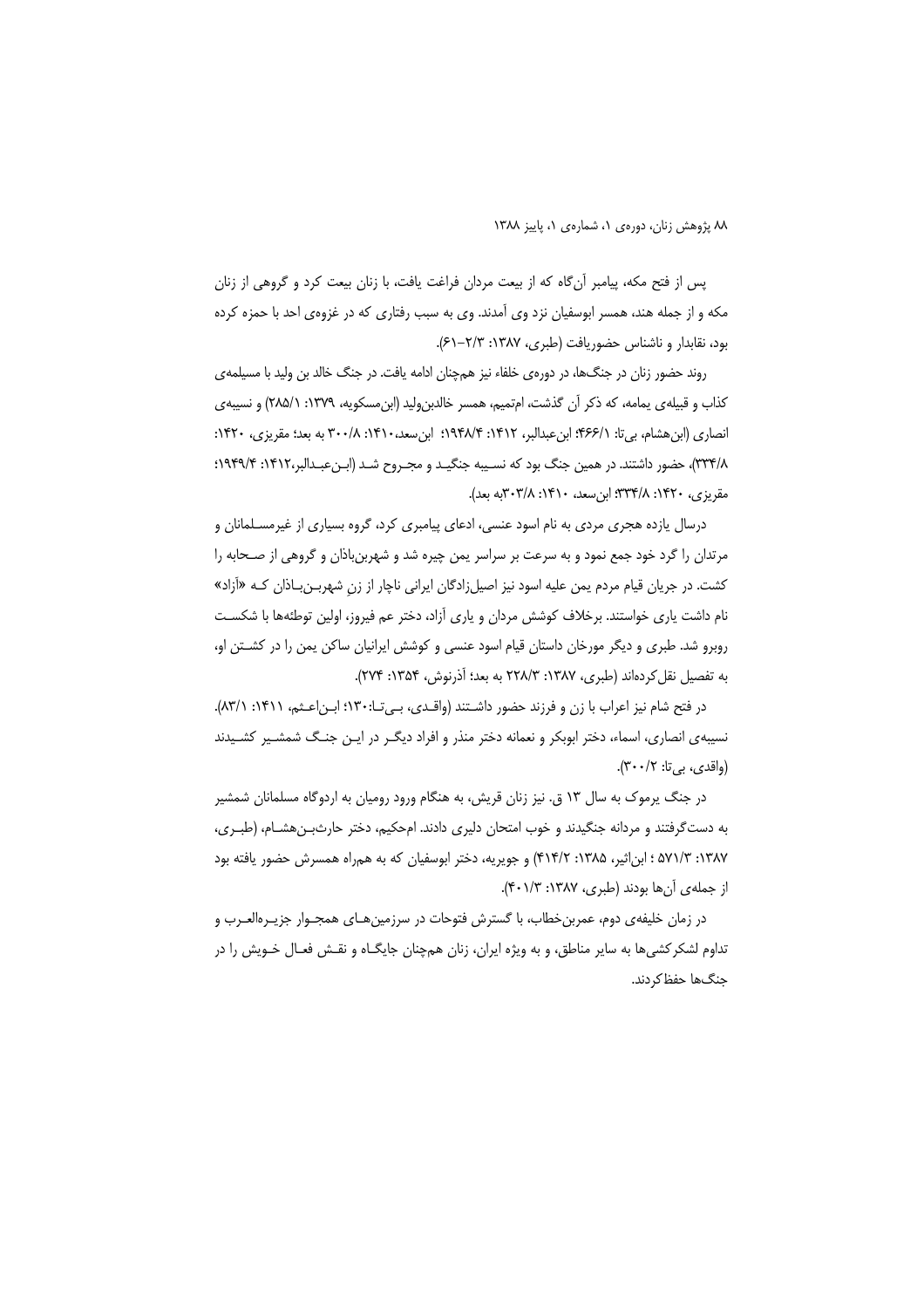٨٨ پژوهش زنان، دورهي ١، شمارهي ١، پاييز ١٣٨٨

يس از فتح مكه، پيامبر آن گاه كه از بيعت مردان فراغت يافت، با زنان بيعت كرد و گروهي از زنان مکه و از جمله هند، همسر ابوسفیان نزد وی آمدند. وی به سبب رفتاری که در غزوهی احد با حمزه کرده بود، نقابدار و ناشناس حضوریافت (طبری، ۱۳۸۷: ۲/۳–۶۱).

روند حضور زنان در جنگ@ا، در دورەی خلفاء نیز همچنان ادامه یافت. در جنگ خالد بن ولید با مسیلمه ی کذاب و قبیله ی یمامه، که ذکر آن گذشت، امتمیم، همسر خالدبن ولید (ابن مسکویه، ۱۳۷۹: ۲۸۵/۱) و نسیبه ی انصاري (ابن هشام، بي تا: ٢۶۶/١) ابن عبدالبر، ١۴١٢: ١٩٢٨/٣؛ ابن سعد، ١۴١٠/ ٣٠٠/٨ به بعد؛ مقريزي، ١۴٢٠: ٣٣٣/٨)، حضور داشتند. در همین جنگ بود که نسـیبه جنگیـد و مجـروح شـد (ابـنعبـدالبر،١۴١٢: ١٩٣٩/٢): مقریزی، ۱۴۲۰: ۳۳۴/۸؛ ابن سعد، ۱۴۱۰: ۳/۸۳۰۳به بعد).

درسال یازده هجری مردی به نام اسود عنسی، ادعای پیامبری کرد، گروه بسیاری از غیرمسـلمانان و مرتدان را گرد خود جمع نمود و به سرعت بر سراسر یمن چیره شد و شهربنباذان و گروهی از صـحابه را کشت. در جریان قیام مردم یمن علیه اسود نیز اصیلزادگان ایرانی ناچار از زن شهربـن بـاذان کـه «آزاد» نام داشت یاری خواستند. برخلاف کوشش مردان و پاری آزاد، دختر عم فیروز، اولین توطئهها با شکست روبرو شد. طبری و دیگر مورخان داستان قیام اسود عنسی و کوشش ایرانیان ساکن یمن را در کشـتن او، به تفصيل نقل كردهاند (طبري، ١٣٨٧: ٢٧٨/٣ به بعد؛ آذرنوش، ١٣٥۴: ٢٧۴).

در فتح شام نیز اعراب با زن و فرزند حضور داشـتند (واقـدی، بـی تـا: ۱۳۰؛ ابـن|عـثم، ۱۴۱۱: ۸۳/۱). نسیبه ی انصاری، اسماء، دختر ابوبکر و نعمانه دختر منذر و افراد دیگـر در ایـن جنـگ شمشـیر کشـیدند (واقدي، بي تا: ٣٠٠/٢).

در جنگ پرموک به سال ۱۳ ق. نیز زنان قریش، به هنگام ورود رومیان به اردوگاه مسلمانان شمشیر به دست گرفتند و مردانه جنگیدند و خوب امتحان دلیری دادند. امحکیم، دختر حارثبـن.هشــام، (طبــری، ۱۳۸۷: ۵۷۱/۳ ؛ ابن|ثیر، ۱۳۸۵: ۴۱۴/۲) و جویریه، دختر ابوسفیان که به همراه همسرش حضور یافته بود از جمله ی آنها بودند (طبری، ۱۳۸۷: ۴۰۱/۳).

در زمان خلیفهی دوم، عمربنخطاب، با گسترش فتوحات در سرزمینهـای همجـوار جزیـرهالعـرب و تداوم لشکر کشی.ها به سایر مناطق، و به ویژه ایران، زنان همچنان جایگـاه و نقـش فعـال خـویش را در جنگ@ا حفظ کر دند.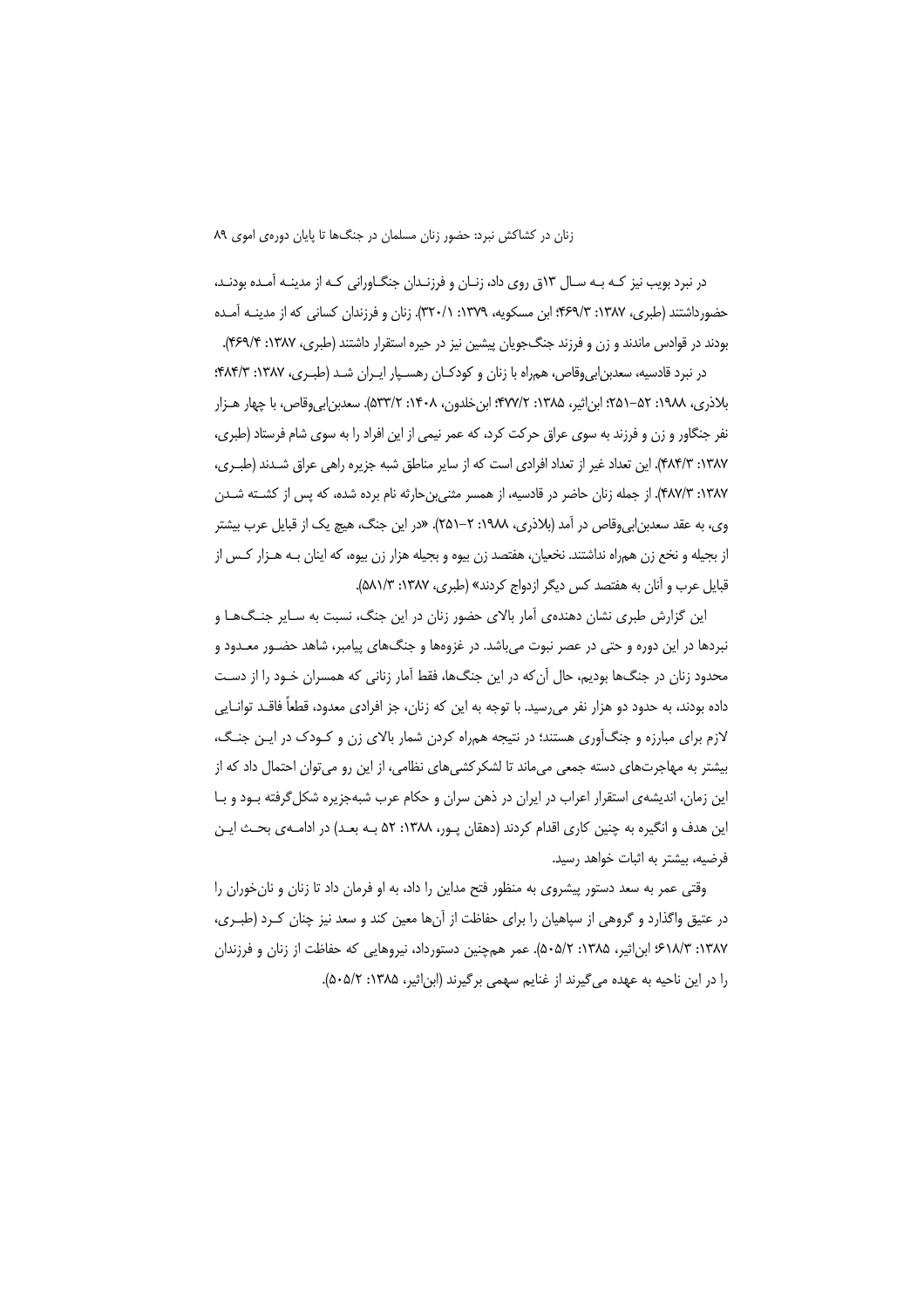در نبرد بویب نیز کـه بـه سـال ۱۳ق روی داد، زنـان و فرزنـدان جنگـاورانی کـه از مدینـه آمـده بودنـد، حضورداشتند (طبری، ۱۳۸۷: ۴۶۹/۳: ابن مسکویه، ۱۳۷۹: ۲۲۰/۱). زنان و فرزندان کسانی که از مدینـه آمـده بودند در قوادس ماندند و زن و فرزند جنگ جویان پیشین نیز در حیره استقرار داشتند (طبری، ۱۳۸۷: ۴۶۹/۴).

در نبرد قادسیه، سعدبن ابی وقاص، همراه با زنان و کودکـان رهسـیار ایـران شـد (طبـری، ۱۳۸۷: ۴۸۴/۳: بلاذري، ١٩٨٨: ٥٢-٤١٦؛ ابناثير، ١٣٨۵: ٢٧٧/٢؛ ابن خلدون، ١۴٠٨: ٥٣٣/٢). سعدبن ابي وقاص، با چهار هـزار نفر جنگاور و زن و فرزند به سوی عراق حرکت کرد، که عمر نیمی از این افراد را به سوی شام فرستاد (طبری، ۱۳۸۷: ۴۸۴/۳). این تعداد غیر از تعداد افرادی است که از سایر مناطق شبه جزیره راهی عراق شـدند (طبـری، ۱۳۸۷: ۴/۷۸۳). از جمله زنان حاضر در قادسیه، از همسر مثنیبنحارثه نام برده شده، که پس از کشته شـدن وي، به عقد سعدبن|بي وقاص در آمد (بلاذري، ١٩٨٨: ٢-٢٥١). «در اين جنگ، هيچ يک از قبايل عرب بيشتر از بجیله و نخع زن همراه نداشتند. نخعیان، هفتصد زن بیوه و بجیله هزار زن بیوه، که اینان بـه هـزار کـس از قبايل عرب و آنان به هفتصد كس ديگر ازدواج كردند» (طبرى، ١٣٨٧: ٥٨١/٣).

این گزارش طبری نشان دهندهی آمار بالای حضور زنان در این جنگ، نسبت به سایر جنگها و نبردها در این دوره و حتی در عصر نبوت میباشد. در غزوهها و جنگهای پیامبر، شاهد حضـور معـدود و محدود زنان در جنگ ها بودیم، حال آن که در این جنگ ها، فقط آمار زنانی که همسران خـود را از دسـت داده بودند، به حدود دو هزار نفر می٫سید. با توجه به این که زنان، جز افرادی معدود، قطعاً فاقــد توانــایی لازم برای مبارزه و جنگآوری هستند؛ در نتیجه همراه کردن شمار بالای زن و کـودک در ایـن جنـگ، بیشتر به مهاجرتهای دسته جمعی میماند تا لشکرکشیهای نظامی، از این رو میتوان احتمال داد که از این زمان، اندیشهی استقرار اعراب در ایران در ذهن سران و حکام عرب شبهجزیره شکل گرفته بـود و بـا این هدف و انگیره به چنین کاری اقدام کردند (دهقان پـور، ۱۳۸۸: ۵۲ بـه بعـد) در ادامـهی بحـث ایـن فرضیه، بیشتر به اثبات خواهد رسید.

وقتی عمر به سعد دستور پیشروی به منظور فتح مداین را داد، به او فرمان داد تا زنان و نانِ خوران را در عتیق واگذارد و گروهی از سپاهیان را برای حفاظت از آنها معین کند و سعد نیز چنان کـرد (طبـری، ۱۳۸۷: ۶۱۸/۳؛ ابن|ثیر، ۱۳۸۵: ۵۰۵/۲). عمر همچنین دستورداد، نیروهایی که حفاظت از زنان و فرزندان را در این ناحیه به عهده میگیرند از غنایم سهمی برگیرند (ابن اثیر، ۱۳۸۵: ۵۰۵/۲).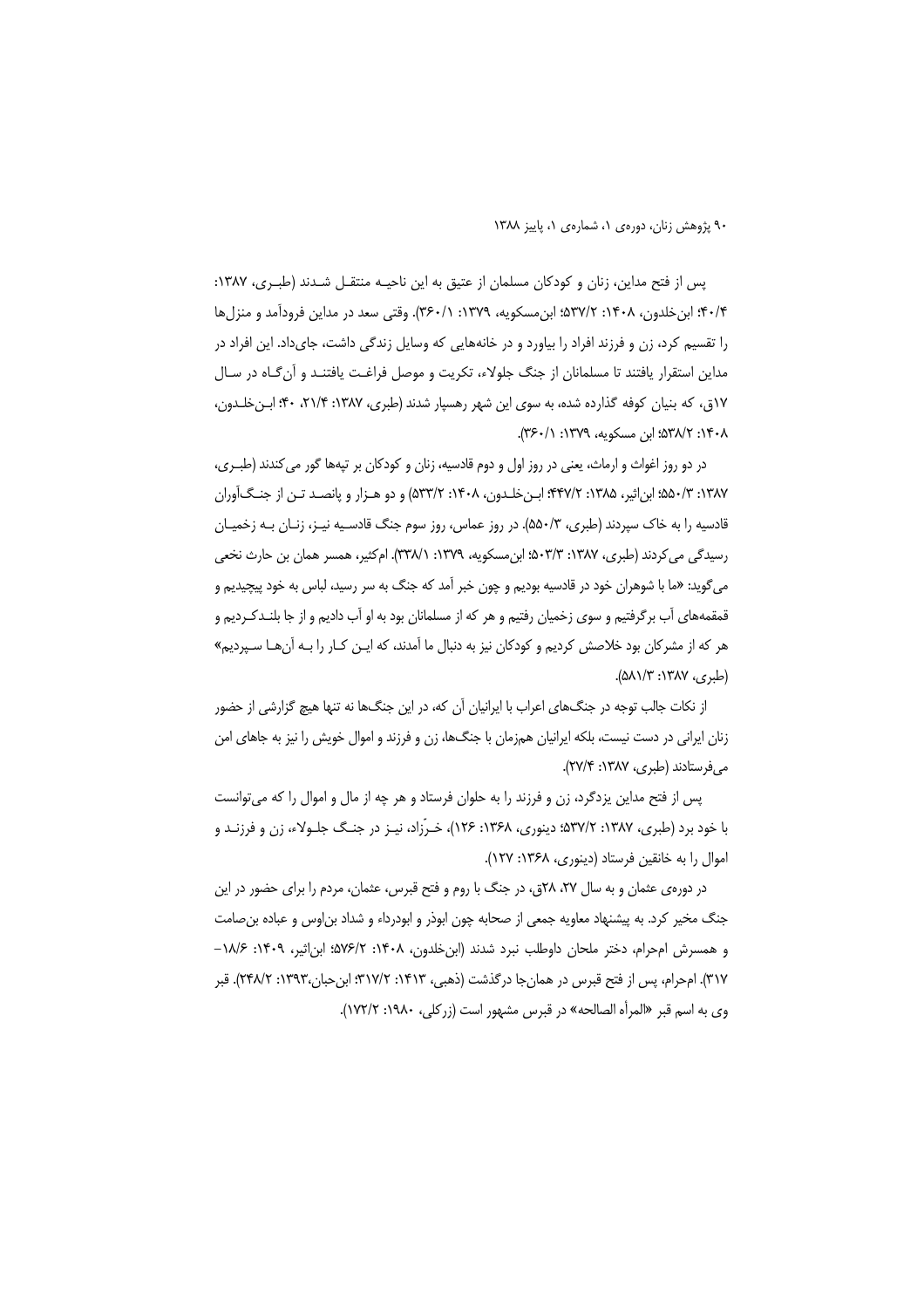يس از فتح مداين، زنان و كودكان مسلمان از عتيق به اين ناحيــه منتقــل شــدند (طبــري، ١٣٨٧: ۴۰/۴): ابن خلدون، ۱۴۰۸: ۵۳۷/۲؛ ابن مسکویه، ۱۳۷۹: ۲۶۰/۱). وقتی سعد در مداین فرودآمد و منزل ها را تقسیم کرد، زن و فرزند افراد را بیاورد و در خانههایی که وسایل زندگی داشت، جایداد. این افراد در مداین استقرار یافتند تا مسلمانان از جنگ جلولاء، تکریت و موصل فراغـت یافتنـد و آن گـاه در سـال ۱۷ق، که بنیان کوفه گذارده شده، به سوی این شهر رهسیار شدند (طبری، ۱۳۸۷: ۲۱/۴، ۴۰؛ ابـن خلـدون، ٠١۴٠٨: ٥٣٨/٢؛ ابن مسكويه، ١٣٧٩: ٢٤٠/١).

در دو روز اغواث و ارماث، یعنی در روز اول و دوم قادسیه، زنان و کودکان بر تپهها گور میکندند (طبـری، ۱۳۸۷: ۵۵۰/۳ ابن|ثیر، ۱۳۸۵: ۴۴۷/۲؛ ابـنخلـدون، ۱۴۰۸: ۵۳۳/۲) و دو هـزار و پانصـد تـن از جنـگ|َوران قادسیه را به خاک سپردند (طبری، ۵۵۰/۳). در روز عماس، روز سوم جنگ قادسـیه نیـز، زنـان بـه زخمیـان رسیدگی می کردند (طبری، ۱۳۸۷: ۵۰۳/۳: ۵۰۳/۳) ابن مسکویه، ۱۳۷۹: ۱۳۸/۱). ام کثیر، همسر همان بن حارث نخعی می6وید: «ما با شوهران خود در قادسیه بودیم و چون خبر آمد که جنگ به سر رسید، لباس به خود پیچیدیم و قمقمههای آب برگرفتیم و سوی زخمیان رفتیم و هر که از مسلمانان بود به او آب دادیم و از جا بلنـدکـردیم و هر که از مشرکان بود خلاصش کردیم و کودکان نیز به دنبال ما آمدند، که ایـن کـار را بـه آنهـا سـپردیم»  $(A\Lambda)/T$ : ۱۳۸۷ م).

از نکات جالب توجه در جنگهای اعراب با ایرانیان آن که، در این جنگها نه تنها هیچ گزارشی از حضور زنان ایرانی در دست نیست، بلکه ایرانیان همزمان با جنگها، زن و فرزند و اموال خویش را نیز به جاهای امن میفرستادند (طبری، ۱۳۸۷: ۲۷/۴).

پس از فتح مداین یزدگرد، زن و فرزند را به حلوان فرستاد و هر چه از مال و اموال را که میتوانست با خود برد (طبري، ۱۳۸۷: ۵۳۷/۲؛ دینوري، ۱۳۶۸: ۱۲۶)، خـرّزاد، نیــز در جنــگ جلــولاء، زن و فرزنــد و اموال را به خانقین فرستاد (دینوری، ۱۳۶۸: ۱۲۷).

در دورهی عثمان و به سال ۲۷، ۲۸ق، در جنگ با روم و فتح قبرس، عثمان، مردم را برای حضور در این جنگ مخیر کرد. به پیشنهاد معاویه جمعی از صحابه چون ابوذر و ابودرداء و شداد بن|وس و عباده بنصامت و همسرش امحرام، دختر ملحان داوطلب نبرد شدند (ابن خلدون، ۱۴۰۸: ۵۷۶/۲؛ ابن اثیر، ۱۴۰۹: ۱۸/۶– ٣١٧). ام درام، پس از فتح قبرس در همان جا درگذشت (ذهبی، ١۴١٣: ٣١٧/٢؛ ابن حبان،١٣٩٣: ٢٤٨/٢). قبر وى به اسم قبر «المرأه الصالحه» در قبرس مشهور است (زركلي، ١٩٨٠: ١٧٢/٢).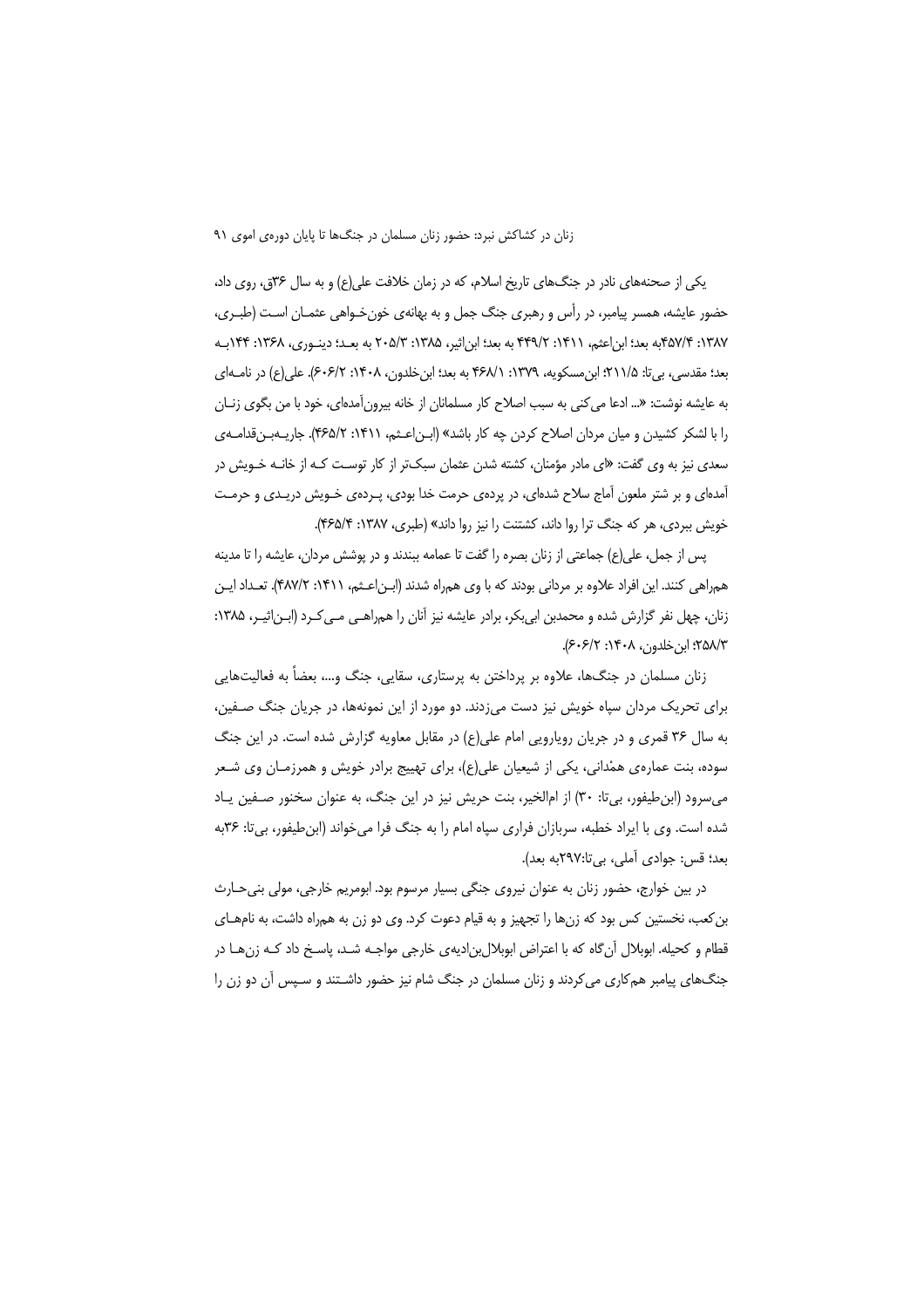یکی از صحنههای نادر در جنگهای تاریخ اسلام، که در زمان خلافت علی(ع) و به سال ۳۶ق، روی داد، حضور عایشه، همسر پیامبر، در رأس و رهبری جنگ جمل و به بهانهی خونخـواهی عثمـان اسـت (طبـری، ١٣٨٧: ٣٨٧/٣؛ بعد؛ ابن|عثم، ١۴١١: ٣٢٩/٢؛ ٩٤٩ به بعد؛ ابن|ثير، ١٣٨۵: ٢٠۵/٣؛ ٢٠٥/٢ به بعـد؛ دينـوري، ١٣۶٨: ١٣٤ بـه بعد؛ مقدسی، بی تا: ۲۱۱/۵؛ ابن مسکویه، ۱۳۷۹: ۱۴۸/۱؛ ۴۶۸/۱ به بعد؛ ابن خلدون، ۱۴۰۸: ۶۰۶/۲). علی(ع) در نامـهای به عایشه نوشت: «.. ادعا می کنی به سبب اصلاح کار مسلمانان از خانه بیرونآمدهای، خود با من بگوی زنـان را با لشکر کشیدن و میان مردان اصلاح کردن چه کار باشد» (ابـن|عـثم، ۱۴۱۱: ۴۶۵/۲). جاریـهبـنقدامـهی سعدی نیز به وی گفت: «ای مادر مؤمنان، کشته شدن عثمان سبکتر از کار توست کـه از خانـه خـویش در آمدهای و بر شتر ملعون آماج سلاح شدهای، در پردهی حرمت خدا بودی، پـردهی خـویش دریـدی و حرمـت خویش ببردی، هر که جنگ ترا روا داند، کشتنت را نیز روا داند» (طبری، ۱۳۸۷: ۴۶۵/۴).

يس از جمل، على(ع) جماعتي از زنان بصره را گفت تا عمامه ببندند و در پوشش مردان، عايشه را تا مدينه همراهی کنند. این افراد علاوه بر مردانی بودند که با وی همراه شدند (ابـناعـثم، ۱۴۱۱: ۴۸۷/۲). تعـداد ایـن زنان، چهل نفر گزارش شده و محمدبن ابی بکر، برادر عایشه نیز آنان را همراهـی مـی کـرد (ابـن|ثیـر، ۱۳۸۵: ٢/٨٨/٣؛ ابن خلدون، ١٤٠٨: ٤٠۶/٢).

زنان مسلمان در جنگها، علاوه بر پرداختن به پرستاری، سقایی، جنگ و…، بعضاً به فعالیتهایی برای تحریک مردان سیاه خویش نیز دست می;دند. دو مورد از این نمونهها، در جریان جنگ صـفین، به سال ۳۶ قمری و در جریان رویارویی امام علی(ع) در مقابل معاویه گزارش شده است. در این جنگ سوده، بنت عمارهی همْدانی، یکی از شیعیان علی(ع)، برای تهییج برادر خویش و همرزمـان وی شـعر میسرود (ابن طیفور، بی¤ا: ۳۰) از ام|لخیر، بنت حریش نیز در این جنگ، به عنوان سخنور صـفین پـاد شده است. وی با ایراد خطبه، سربازان فراری سپاه امام را به جنگ فرا میخواند (ابن طیفور، بیتا: ۳۶به بعد؛ قس: جوادی آملی، بی تا:۲۹۷به بعد).

در بین خوارج، حضور زنان به عنوان نیروی جنگی بسیار مرسوم بود. ابومریم خارجی، مولی بنی حـارث بن کعب، نخستین کس بود که زنها را تجهیز و به قیام دعوت کرد. وی دو زن به همراه داشت، به نامهـای قطام و کحیله. ابوبلال آن گاه که با اعتراض ابوبلال بن|دیهی خارجی مواجـه شـد، پاسـخ داد کـه زن هـا در جنگهای پیامبر همکاری میکردند و زنان مسلمان در جنگ شام نیز حضور داشـتند و سـپس آن دو زن را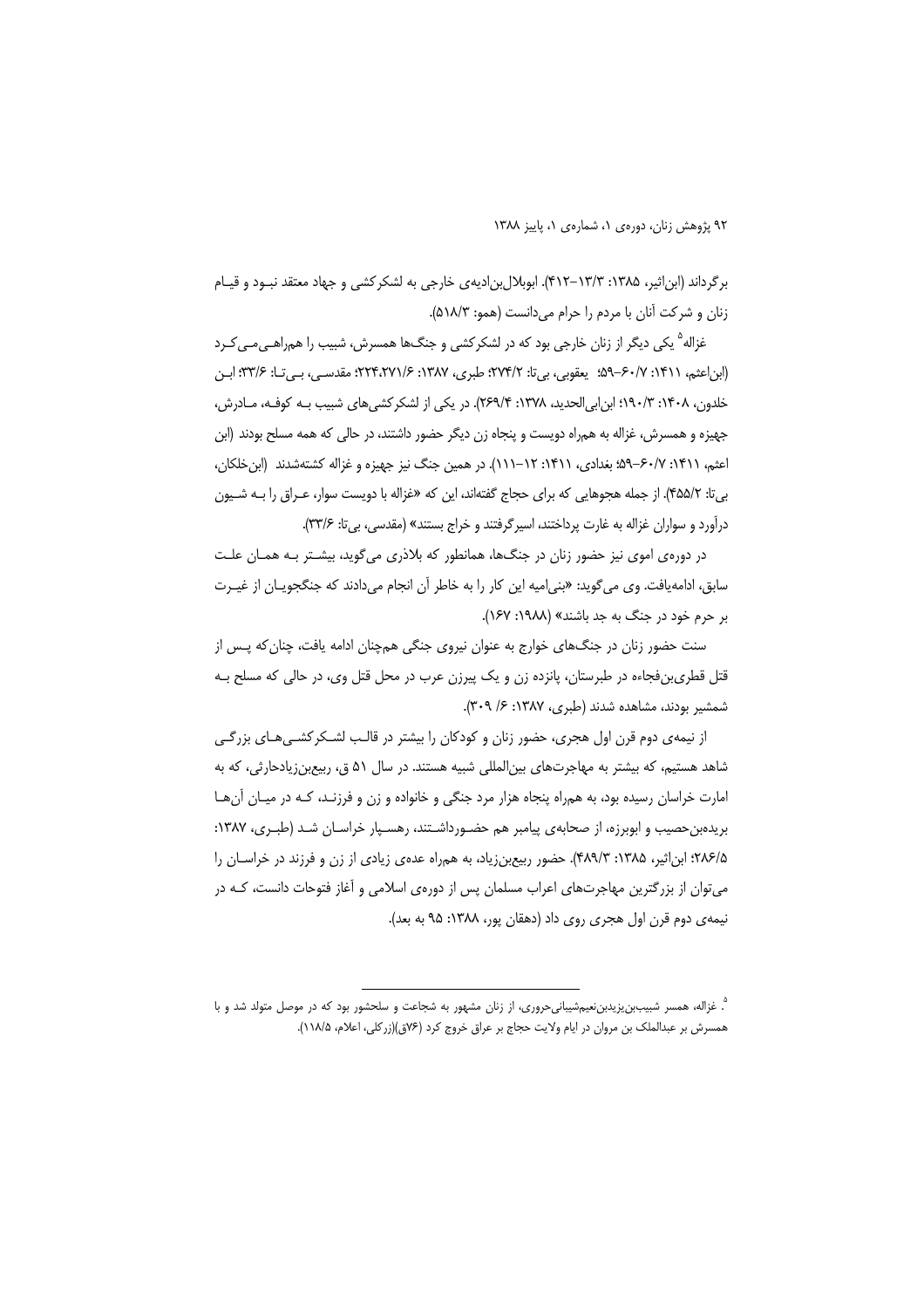برگرداند (ابن|ثیر، ۱۳۸۵: ۱۳/۳–۴۱۲). ابوبلال بن|دیه ی خارجی به لشکر کشی و جهاد معتقد نبـود و قیـام زنان و شركت آنان با مردم را حرام می دانست (همو: ۵۱۸/۳).

غزاله<sup>۵</sup> یکی دیگر از زنان خارجی بود که در لشکرکشی و جنگها همسرش، شبیب را همراهـی مـی *ک*ـرد (ابن اعثم، ١۴١١: ٠٨٧-٥٩٩؛ يعقوبي، بي تا: ٢٧٣/٢؛ طبري، ١٣٨٧: ٢٢٤، ٢٢٣،٢٧١)؛ مقدسـي، بـي تـا: ٣٣/۶؛ ابـن خلدون، ۱۴۰۸: ۱۹۰/۳؛ ابن ابی الحدید، ۱۳۷۸: ۲۶۹/۴). در یکی از لشکر کشی های شبیب بـه کوفـه، مـادرش، جهیزه و همسرش، غزاله به هم٫راه دویست و پنجاه زن دیگر حضور داشتند، در حالی که همه مسلح بودند (ابن اعثم، ١۴١١: ٠/٠٨-٥٩: بغدادي، ١۴١١: ١٢–١١١). در همين جنگ نيز جهيزه و غزاله كشتهشدند (ابن خلكان، بیتا: ۴۵۵/۲). از جمله هجوهایی که برای حجاج گفتهاند، این که «غزاله با دویست سوار، عـراق را بـه شـیون درآورد و سواران غزاله به غارت پرداختند، اسپر گرفتند و خراج بستند» (مقدسی، بی تا: ۳۳/۶).

در دورهی اموی نیز حضور زنان در جنگها، همانطور که بلاذری می گوید، بیشتر بـه همـان علـت سابق، ادامهیافت. وی میگوید: «بنیامیه این کار را به خاطر آن انجام میدادند که جنگجویـان از غیـرت بر حرم خود در جنگ به جد باشند» (۱۹۸۸: ۱۶۷).

سنت حضور زنان در جنگهای خوارج به عنوان نیروی جنگی همچنان ادامه یافت، چنان که پـس از قتل قطریبن فجاءه در طبرستان، پانزده زن و یک پیرزن عرب در محل قتل وی، در حالی که مسلح بـه شمشیر بودند، مشاهده شدند (طبری، ۱۳۸۷: ۶/ ۳۰۹).

از نیمهی دوم قرن اول هجری، حضور زنان و کودکان را بیشتر در قالب لشـکر کشـی۵ـای بزرگـی شاهد هستیم، که بیشتر به مهاجرتهای بین|لمللی شبیه هستند. در سال ۵۱ ق، ربیعبنزیادحارثی، که به امارت خراسان رسیده بود، به همراه پنجاه هزار مرد جنگی و خانواده و زن و فرزنـد، کـه در میـان آنهـا بریدهبن حصیب و ابوبرزه، از صحابهی پیامبر هم حضـورداشـتند، رهسـپار خراسـان شـد (طبـری، ۱۳۸۷: ۲۸۶/۵؛ ابناثیر، ۱۳۸۵: ۴۸۹/۳). حضور ربیع بن زیاد، به همراه عدهی زیادی از زن و فرزند در خراسـان را میتوان از بزرگترین مهاجرتهای اعراب مسلمان پس از دورهی اسلامی و آغاز فتوحات دانست، کـه در نیمهی دوم قرن اول هجری روی داد (دهقان پور، ۱۳۸۸: ۹۵ به بعد).

<sup>°.</sup> غزاله، همسر شبیببن یزیدبننعیمشیبانیحروری، از زنان مشهور به شجاعت و سلحشور بود که در موصل متولد شد و با همسرش بر عبدالملک بن مروان در ایام ولایت حجاج بر عراق خروج کرد (۷۶ق)(زرکلی، اعلام، ۱۱۸/۵).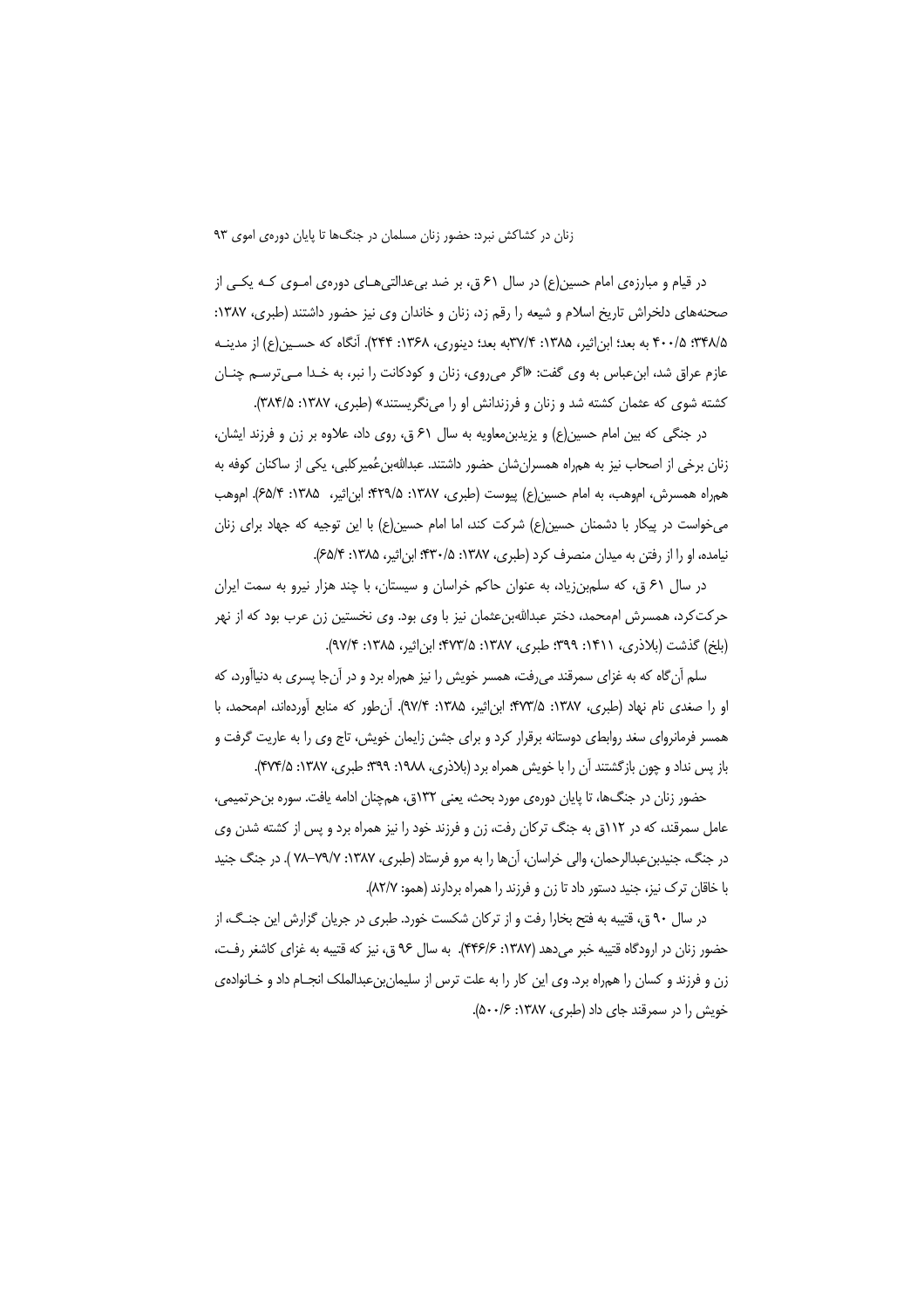در قیام و مبارزهی امام حسین(ع) در سال ۶۱ ق، بر ضد بی عدالتی هـای دورهی امـوی کـه یکـی از صحنههای دلخراش تاریخ اسلام و شیعه را رقم زد، زنان و خاندان وی نیز حضور داشتند (طبری، ۱۳۸۷: ۴۰۰/۵ ۴۰۰/۵ به بعد؛ ابن|ثیر، ۱۳۸۵: ۳۷/۴به بعد؛ دینوری، ۱۳۶۸: ۲۴۴). آنگاه که حسـین(ع) از مدینــه عازم عراق شد، ابن عباس به وي گفت: «اگر مي روي، زنان و كودكانت را نبر، به خـدا مـي ترسـم چنــان کشته شوی که عثمان کشته شد و زنان و فرزندانش او را می نگریستند» (طبری، ۱۳۸۷: ۳۸۴/۵).

در جنگی که بین امام حسین(ع) و پزیدبن،معاویه به سال ۶۱ ق، روی داد، علاوه بر زن و فرزند ایشان، زنان برخی از اصحاب نیز به همراه همسرانِشان حضور داشتند. عبداللهبنِ عُمیر کلبی، یکی از ساکنان کوفه به همراه همسرش، اموهب، به امام حسین(ع) پیوست (طبری، ۱۳۸۷: ۴۲۹/۵؛ ابن|ثیر، ۔۱۳۸۵: ۶۵/۴). اموهب میخواست در پیکار با دشمنان حسین(ع) شرکت کند، اما امام حسین(ع) با این توجیه که جهاد برای زنان نیامده، او را از رفتن به میدان منصرف کرد (طبری، ۱۳۸۷: ۴۳۰/۵)؛ ابن اثیر، ۱۳۸۵: ۶۵/۴).

در سال ۶۱ ق، که سلمبنزیاد، به عنوان حاکم خراسان و سیستان، با چند هزار نیرو به سمت ایران حرکت کرد، همسرش اممحمد، دختر عبداللهبنعثمان نیز با وی بود. وی نخستین زن عرب بود که از نهر (بلخ) گذشت (بلاذري، ١۴١١: ٣٩٩؛ طبري، ١٣٨٧: ٢٧٣/٥؛ ابن|ثير، ١٣٨۵: ٩٧/۴).

سلم آن گاه که به غزای سمرقند می رفت، همسر خویش را نیز همراه برد و در آنجا پسری به دنیاآورد، که او را صغدی نام نهاد (طبری، ۱۳۸۷: ۲۷۳/۵؛ این اثیر، ۱۳۸۵: ۹۷/۴). آن طور که منابع آوردهاند، اممحمد، با همسر فرمانروای سغد روابطی دوستانه برقرار کرد و برای جشن زایمان خویش، تاج وی را به عاریت گرفت و باز پس نداد و چون بازگشتند آن را با خویش همراه برد (بلاذری، ۱۹۸۸: ۳۹۹: شابری، ۱۳۸۷: ۲۷۴/۵).

حضور زنان در جنگ0ا، تا پایان دورەی مورد بحث، یعنی ۱۳۲ق، همچنان ادامه یافت. سوره بن حرتمیمی، عامل سمرقند، که در ۱۱۲ق به جنگ ترکان رفت، زن و فرزند خود را نیز همراه برد و پس از کشته شدن وی در جنگ، جنیدبنِ عبدالرحمان، والی خراسان، اَنها را به مرو فرستاد (طبری، ۱۳۸۷: ۷۷–۷۸). در جنگ جنید با خاقان ترک نیز، جنید دستور داد تا زن و فرزند را همراه بردارند (همو: ۸۲/۷).

در سال ۹۰ ق، قتیبه به فتح بخارا رفت و از ترکان شکست خورد. طبری در جریان گزارش این جنگ، از حضور زنان در ارودگاه قتیبه خبر میدهد (۱۳۸۷: ۴۴۶/۶). به سال ۹۶ ق، نیز که قتیبه به غزای کاشغر رفت، زن و فرزند و کسان را همراه برد. وی این کار را به علت ترس از سلیمان بنعبدالملک انجــام داد و خــانوادهی خویش را در سمرقند جای داد (طبری، ۱۳۸۷: ۵۰۰/۶).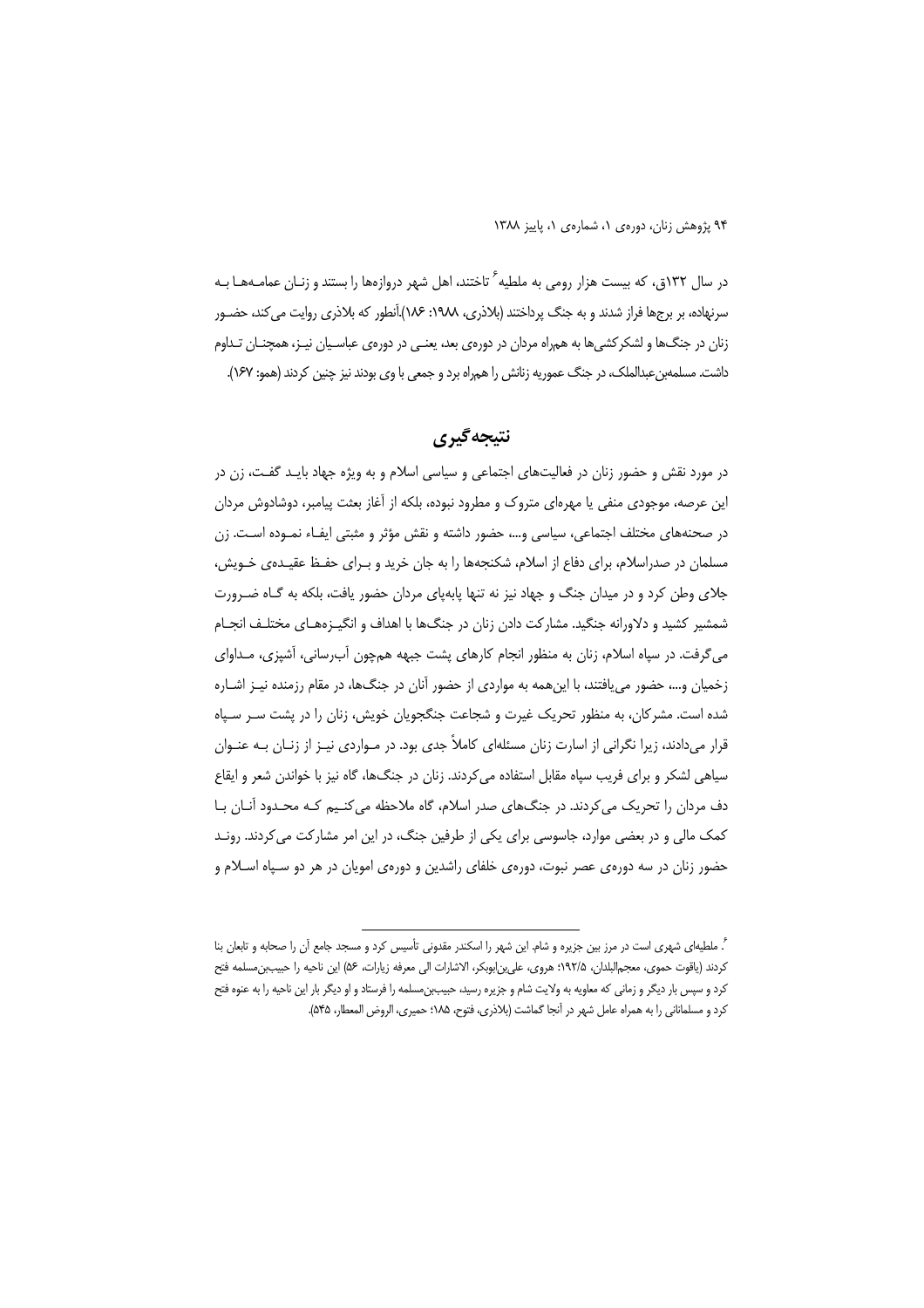در سال ۱۳۲ق، که بیست هزار رومی به ملطیه <sup>۶</sup> تاختند، اهل شهر دروازهها را بستند و زنـان عمامـههـا بـه سرنهاده، بر برجها فراز شدند و به جنگ پرداختند (بلاذری، ۱۹۸۸: ۱۸۶).آنطور که بلاذری روایت می کند، حضـور زنان در جنگ ها و لشکر کشی ها به همراه مردان در دورهی بعد، یعنـی در دورهی عباسـیان نیـز، همچنـان تـداوم داشت. مسلمهبن عبدالملک، در جنگ عموریه زنانش را همراه برد و جمعی با وی بودند نیز چنین کردند (همو: ۱۶۷).

## نتىجەگىرى

در مورد نقش و حضور زنان در فعالیتهای اجتماعی و سیاسی اسلام و به ویژه جهاد بایـد گفـت، زن در این عرصه، موجودی منفی یا مهرهای متروک و مطرود نبوده، بلکه از آغاز بعثت پیامبر، دوشادوش مردان در صحنههای مختلف اجتماعی، سیاسی و…، حضور داشته و نقش مؤثر و مثبتی ایفـاء نمـوده اسـت. زن مسلمان در صدراسلام، برای دفاع از اسلام، شکنجهها را به جان خرید و بـرای حفـظ عقیـدهی خـویش، جلای وطن کرد و در میدان جنگ و جهاد نیز نه تنها پابهپای مردان حضور یافت، بلکه به گـاه ضـرورت شمشیر کشید و دلاورانه جنگید. مشارکت دادن زنان در جنگ۱ها با اهداف و انگیـزههـای مختلـف انجـام می گرفت. در سیاه اسلام، زنان به منظور انجام کارهای پشت جبهه همچون آبرسانی، آشپزی، مـداوای زخمیان و…، حضور می یافتند، با این همه به مواردی از حضور آنان در جنگ ها، در مقام رزمنده نیـز اشـاره شده است. مشرکان، به منظور تحریک غیرت و شجاعت جنگجویان خویش، زنان را در پشت سـر سـیاه قرار می‹دادند، زیرا نگرانی از اسارت زنان مسئلهای کاملاً جدی بود. در مـواردی نیـز از زنـان بـه عنـوان سیاهی لشکر و برای فریب سیاه مقابل استفاده می کردند. زنان در جنگها، گاه نیز با خواندن شعر و ایقاع دف مردان را تحریک می کردند. در جنگهای صدر اسلام، گاه ملاحظه می کنـیم کـه محـدود آنــان بــا کمک مالی و در بعضی موارد، جاسوسی برای یکی از طرفین جنگ، در این امر مشارکت می کردند. رونـد حضور زنان در سه دورهی عصر نبوت، دورهی خلفای راشدین و دورهی امویان در هر دو سـپاه اسـلام و

<sup>&</sup>lt;sup>7</sup>. ملطیهای شهری است در مرز بین جزیره و شام. این شهر را اسکندر مقدونی تأسیس کرد و مسجد جامع آن را صحابه و تابعان بنا كردند (ياقوت حموي، معجم|لبلدان، ١٩٢/٥؛ هروي، علىبن|بوبكر، الاشارات الى معرفه زيارات، ٥۶) اين ناحيه را حبيببن مسلمه فتح کرد و سپس بار دیگر و زمانی که معاویه به ولایت شام و جزیره رسید، حبیببن،سلمه را فرستاد و او دیگر بار این ناحیه را به عنوه فتح كرد و مسلماناني را به همراه عامل شهر در آنجا گماشت (بلاذري، فتوح، ۱۸۵؛ حميري، الروض المعطار، ۵۴۵).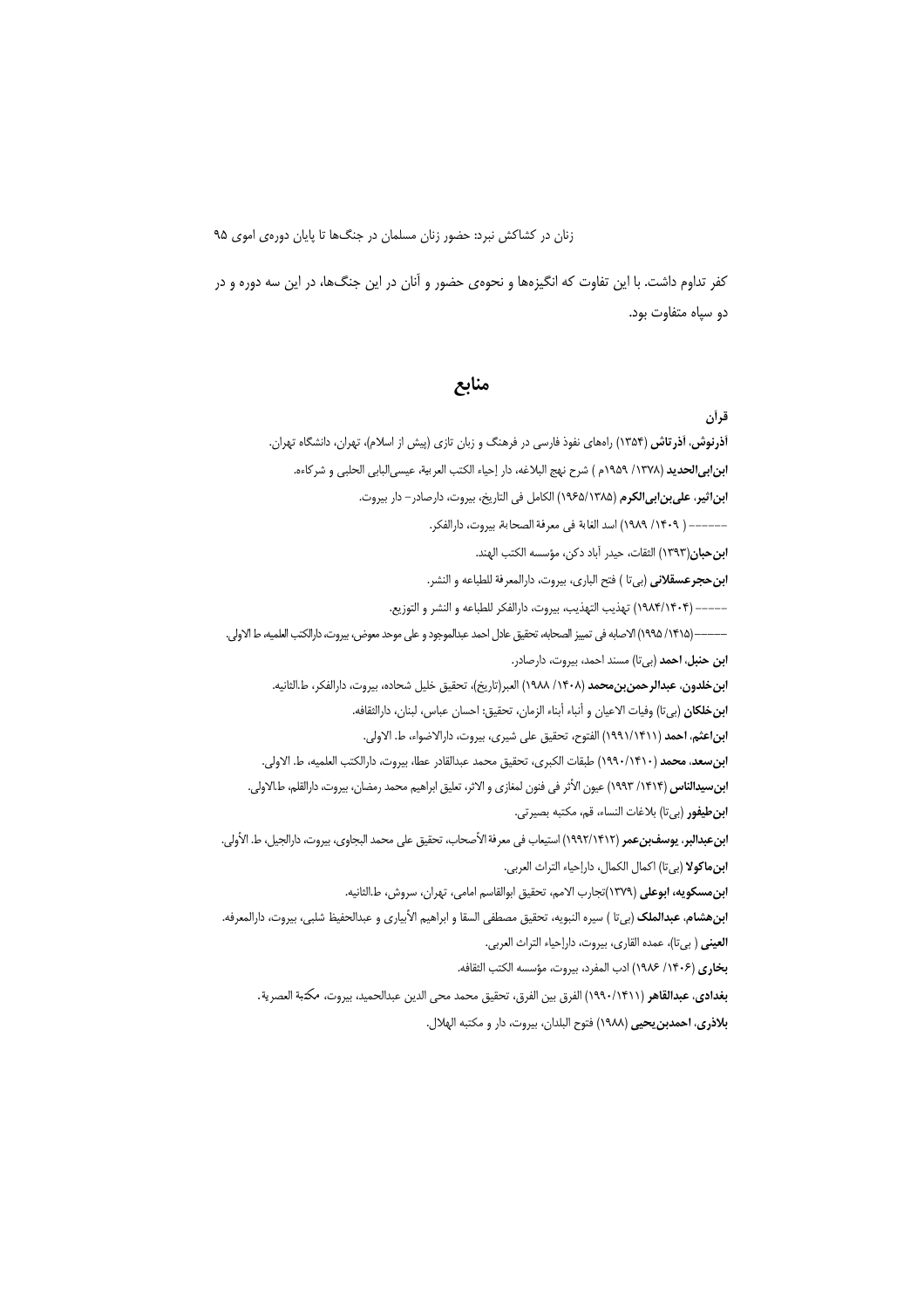کفر تداوم داشت. با این تفاوت که انگیزهها و نحوهی حضور و آنان در این جنگ@ا، در این سه دوره و در دو سياه متفاوت بود.

### منابع

قرأن

آ**ذرنوش، آذرتاش (۱**۳۵۴) راههای نفوذ فارسی در فرهنگ و زبان تازی (پیش از اسلام)، تهران، دانشگاه تهران. **ابن|بي|لحديد** (١٣٧٨/ ١٩۵٩م ) شرح نهج البلاغه، دار إحياء الكتب العربية، عيسى|لبابي الحلبي و شركاءه.

ابن اثير، على بن ابى الكرم (١٣٨٥/١٣٨٥) الكامل في التاريخ، بيروت، دارصادر- دار بيروت.

–––––– ( ١۴٠٩/ ١٩٨٩) اسد الغابة في معرفة الصحابة، بيروت، دارالفكر.

**ابن حبان**(١٣٩٣) الثقات، حيدر آباد دكن، مؤسسه الكتب الهند.

**ابن حجرعسقلاني** (بيتا ) فتح الباري، بيروت، دارالمعرفة للطباعه و النشر.

–––– (١٩٨۴/١۴٠۴) تهذيب التهذيب، بيروت، دارالفكر للطباعه و النشر و التوزيع.

–––––(١٩٦٥/ ١٩٩٥) الاصابه في تمييز الصحابه، تحقيق عادل احمد عبدالموجود و على موحد معوض، بيروت، دارالكتب العلميه، ط الاولى. **ابن حنبل، احمد** (بیتا) مسند احمد، بیروت، دارصادر.

ا**بن خلدون، عبدالرحمن بن محمد** (١٤٠٨/ ١٩٨٨) العبر(تاريخ)، تحقيق خليل شحاده، بيروت، دارالفكر، ط.الثانيه.

**ابن خلكان** (بيتا) وفيات الاعيان و أنباء أبناء الزمان، تحقيق: احسان عباس، لبنان، دارالثقافه.

ا**بن|عثم، احمد** (١٩٩١/١٩٩١) الفتوح، تحقيق على شيري، بيروت، دارالاضواء، ط. الاولى.

**ابن سعد، محمد** (١٩٩٠/١۴١٠) طبقات الكبرى، تحقيق محمد عبدالقادر عطا، بيروت، دارالكتب العلميه، ط. الاولى.

**ابن سيدالناس** (١۴١۴/ ١٩٩٣) عيون الأثر في فنون لمغازى و الاثر، تعليق ابراهيم محمد رمضان، بيروت، دارالقلم، ط.الاولى. ابن طيفور (بي تا) بلاغات النساء، قم، مكتبه بصيرتي.

**ابن عبدالبر، يوسف بن عمر** (١٩٩٢/١٤١٢) استيعاب في معرفة الأصحاب، تحقيق على محمد البجاوي، بيروت، دارالجيل، ط. الأولى. **ابن ماكولا** (بي تا) اكمال الكمال، دارإحياء التراث العربي.

ابن مسكويه، ابوعلى (١٣٧٩)تجارب الامم، تحقيق ابوالقاسم امامي، تهران، سروش، ط.الثانيه.

ابن هشام، عبدالملك (بيتا ) سيره النبويه، تحقيق مصطفى السقا و ابراهيم الأبياري و عبدالحفيظ شلبي، بيروت، دارالمعرفه. العيني (بيتا)، عمده القاري، بيروت، دارإحياء التراث العربي.

بخاري (١۴٠۶/ ١٩٨۶) ادب المفرد، بيروت، مؤسسه الكتب الثقافه.

**بغدادي، عبدالقاهر** (١٩٩٠/١٩٩١) الفرق بين الفرق، تحقيق محمد محي الدين عبدالحميد، بيروت، مكتبة العصرية.

بلاذري، احمدبن يحيى (١٩٨٨) فتوح البلدان، بيروت، دار و مكتبه الهلال.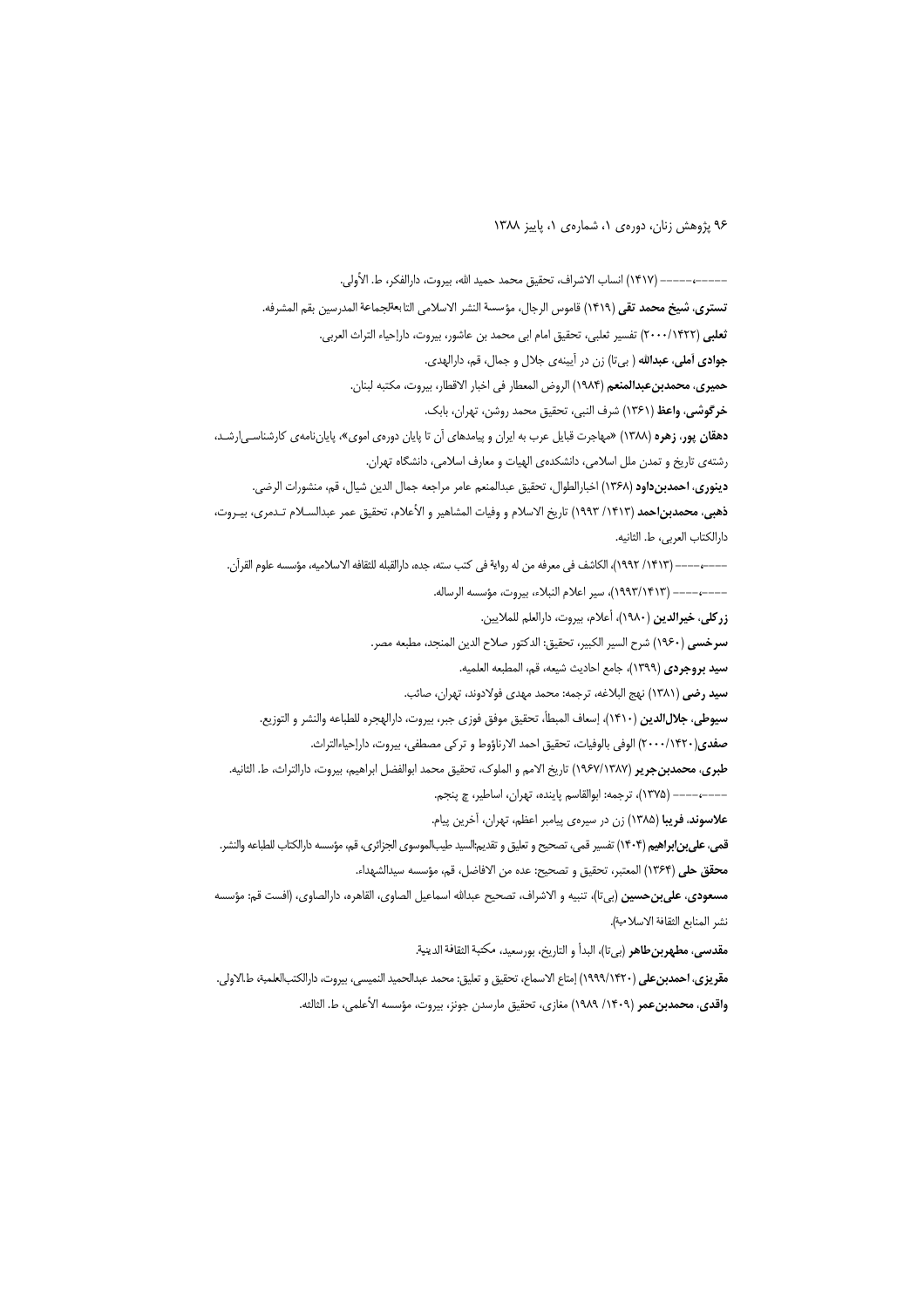––––––––– (١۴١٧) انساب الاشراف، تحقيق محمد حميد الله، بيروت، دارالفكر، ط. الأولى. .<br>**تستري، شيخ محمد تقي** (١۴١٩) قاموس الرجال، مؤسسة النشر الاسلامي التابعةلجماعة المدرسين بقم المشرفه. ثعلبي (٢٠٠٠/١۴٢٢) تفسير ثعلبي، تحقيق امام ابي محمد بن عاشور، بيروت، دارإحياء التراث العربي. جوادي آملي، عبدالله ( بيتا) زن در آيينهي جلال و جمال، قم، دارالهدي. حميري، محمدبن عبدالمنعم (١٩٨۴) الروض المعطار في اخبار الاقطار، بيروت، مكتبه لبنان. خرگوشي، واعظ (١٣۶١) شرف النبي، تحقيق محمد روشن، تهران، بابک. **دهقان پور، زهره (۱۳۸۸) «م**هاجرت قبایل عرب به ایران و پیامدهای آن تا پایان دورهی اموی»، پایاننامهی کارشناسی|رشـد، رشته ی تاریخ و تمدن ملل اسلامی، دانشکده ی الهیات و معارف اسلامی، دانشگاه تهران. **دينوري، احمدبن داود** (١٣۶٨) اخبارالطوال، تحقيق عبدالمنعم عامر مراجعه جمال الدين شيال، قم، منشورات الرضي. **ذهبي، محمدبن|حمد (١**١٩١٣/ ١٩٩٣) تاريخ الاسلام و وفيات المشاهير و الأعلام، تحقيق عمر عبدالسـلام تـدمري، بيـروت، دارالكتاب العربي، ط. الثانيه. ––––––––(١٩١٣/ ١٩٩٢)، الكاشف في معرفه من له رواية في كتب سته، جده، دارالقبله للثقافه الاسلاميه، مؤسسه علوم القرآن. ----->---- (١٩٩٣/١۴١٣)، سير اعلام النبلاء، بيروت، مؤسسه الرساله. زركلي، خيرالدين (١٩٨٠)، أعلام، بيروت، دارالعلم للملايين. سرخسي (١٩۶٠) شرح السير الكبير، تحقيق: الدكتور صلاح الدين المنجد، مطبعه مصر. **سيد بروجردي** (١٣٩٩)، جامع احاديث شيعه، قم، المطبعه العلميه. **سيد رضي** (١٣٨١) نهج البلاغه، ترجمه: محمد مهدى فولادوند، تهران، صائب. **سيوطي، جلالالدين** (١۴١٠)، إسعاف المبطأ، تحقيق موفق فوزي جبر، بيروت، دارالهجره للطباعه والنشر و التوزيع. صفدي(٢٢٠٠/١۴٢٠) الوفي بالوفيات، تحقيق احمد الارناؤوط و تركي مصطفى، بيروت، دارإحياءالتراث. **طبري، محمدبن جرير (١٩/٢/١٣٨٧)** تاريخ الامم و الملوك، تحقيق محمد ابوالفضل ابراهيم، بيروت، دارالتراث، ط. الثانيه. ----->---- (١٣٧۵)، ترجمه: ابوالقاسم پاينده، تهران، اساطير، چ پنجم. **علاسوند. فریبا** (۱۳۸۵) زن در سیرهی پیامبر اعظم، تهران، آخرین پیام. قمی، علی بن ابراهیم (۱۴۰۴) تفسیر قمی، تصحیح و تعلیق و تقدیم:السید طیب|لموسوی الجزائری، قم، مؤسسه دارالکتاب للطباعه والنشر. محقق حلى (١٣۶۴) المعتبر، تحقيق و تصحيح: عده من الافاضل، قم، مؤسسه سيدالشهداء. مسعودي، على بن حسين (بي تا)، تنبيه و الاشراف، تصحيح عبدالله اسماعيل الصاوي، القاهره، دارالصاوي، (افست قم: مؤسسه نشر المنابع الثقافة الاسلامية). **مقدسي، مطهوبن طاهو** (بيتا)، البدأ و التاريخ، بورسعيد، مكتبة الثقافة الدينية. .<br>**مقريزي، احمدبن عل**ى (١٩٩٩/١٩٢٠) إمتاع الاسماع، تحقيق و تعليق: محمد عبدالحميد النميسي، بيروت، دارالكتبالعلمية، ط.الاولي. **واقدى، محمدبن عمر** (١٣٠٩/ ١٩٨٩) مغازى، تحقيق مارسدن جونز، بيروت، مؤسسه الأعلمي، ط. الثالثه.